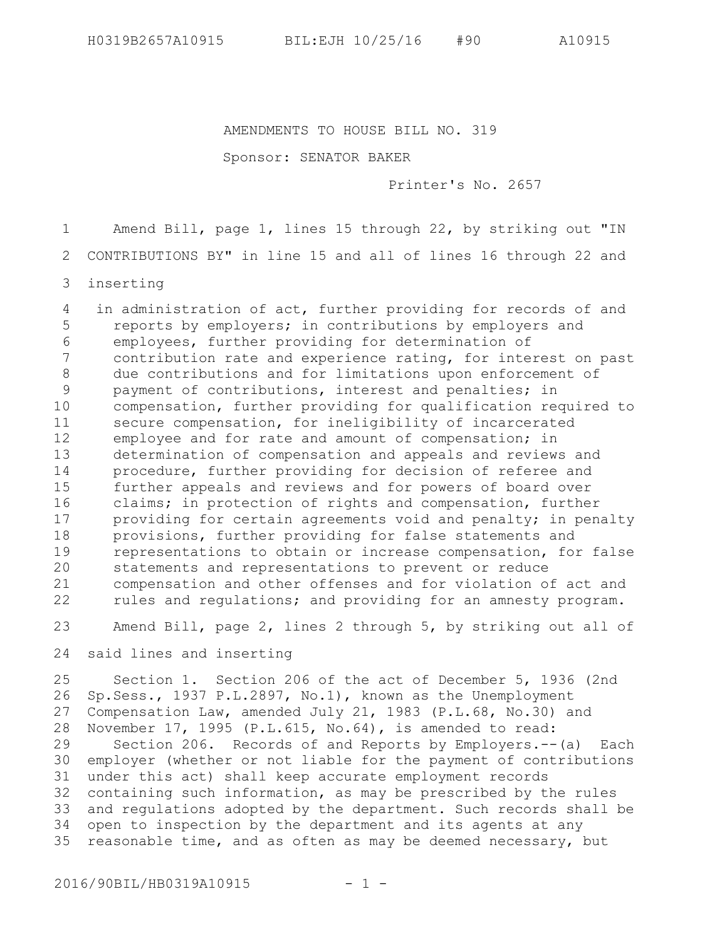AMENDMENTS TO HOUSE BILL NO. 319

Sponsor: SENATOR BAKER

Printer's No. 2657

Amend Bill, page 1, lines 15 through 22, by striking out "IN 1

CONTRIBUTIONS BY" in line 15 and all of lines 16 through 22 and 2

inserting 3

 in administration of act, further providing for records of and reports by employers; in contributions by employers and employees, further providing for determination of contribution rate and experience rating, for interest on past due contributions and for limitations upon enforcement of payment of contributions, interest and penalties; in compensation, further providing for qualification required to secure compensation, for ineligibility of incarcerated employee and for rate and amount of compensation; in determination of compensation and appeals and reviews and procedure, further providing for decision of referee and further appeals and reviews and for powers of board over claims; in protection of rights and compensation, further providing for certain agreements void and penalty; in penalty provisions, further providing for false statements and representations to obtain or increase compensation, for false statements and representations to prevent or reduce compensation and other offenses and for violation of act and rules and regulations; and providing for an amnesty program. 4 5 6 7 8 9 10 11 12 13 14 15 16 17 18 19 20 21 22

Amend Bill, page 2, lines 2 through 5, by striking out all of 23

said lines and inserting 24

Section 1. Section 206 of the act of December 5, 1936 (2nd Sp.Sess., 1937 P.L.2897, No.1), known as the Unemployment Compensation Law, amended July 21, 1983 (P.L.68, No.30) and November 17, 1995 (P.L.615, No.64), is amended to read: Section 206. Records of and Reports by Employers.--(a) Each employer (whether or not liable for the payment of contributions under this act) shall keep accurate employment records containing such information, as may be prescribed by the rules and regulations adopted by the department. Such records shall be open to inspection by the department and its agents at any reasonable time, and as often as may be deemed necessary, but 25 26 27 28 29 30 31 32 33 34 35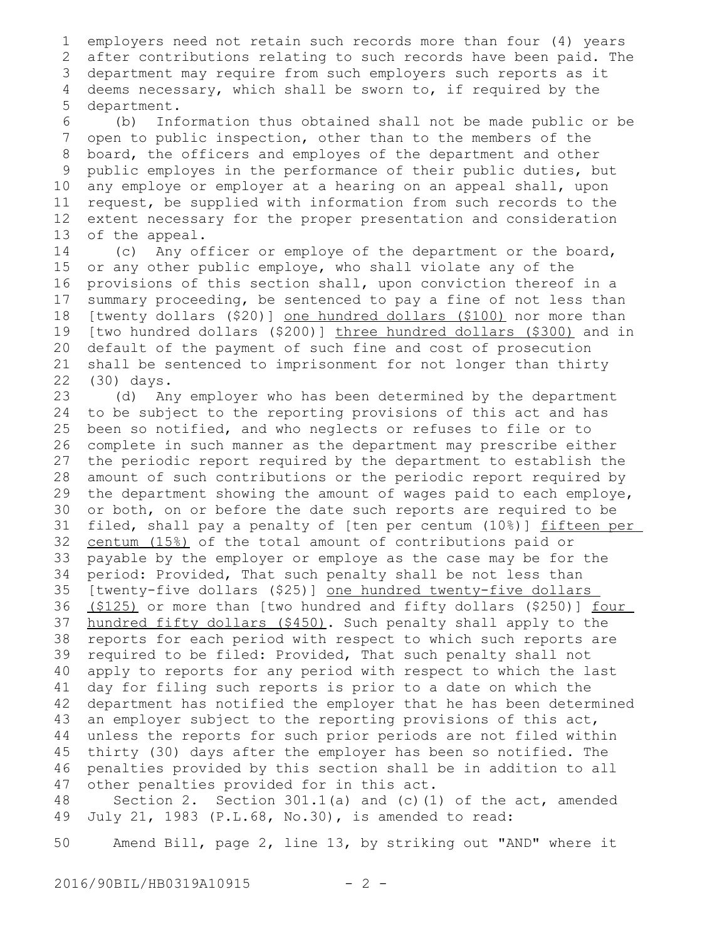employers need not retain such records more than four (4) years after contributions relating to such records have been paid. The department may require from such employers such reports as it 3 deems necessary, which shall be sworn to, if required by the department. 1 2 4 5

(b) Information thus obtained shall not be made public or be open to public inspection, other than to the members of the board, the officers and employes of the department and other public employes in the performance of their public duties, but any employe or employer at a hearing on an appeal shall, upon request, be supplied with information from such records to the extent necessary for the proper presentation and consideration of the appeal. 6 7 8 9 10 11 12 13

(c) Any officer or employe of the department or the board, or any other public employe, who shall violate any of the provisions of this section shall, upon conviction thereof in a summary proceeding, be sentenced to pay a fine of not less than [twenty dollars (\$20)] one hundred dollars (\$100) nor more than [two hundred dollars (\$200)] three hundred dollars (\$300) and in default of the payment of such fine and cost of prosecution shall be sentenced to imprisonment for not longer than thirty (30) days. 14 15 16 17 18 19 20 21 22

(d) Any employer who has been determined by the department to be subject to the reporting provisions of this act and has been so notified, and who neglects or refuses to file or to complete in such manner as the department may prescribe either the periodic report required by the department to establish the amount of such contributions or the periodic report required by the department showing the amount of wages paid to each employe, or both, on or before the date such reports are required to be filed, shall pay a penalty of [ten per centum (10%)] fifteen per centum (15%) of the total amount of contributions paid or payable by the employer or employe as the case may be for the period: Provided, That such penalty shall be not less than [twenty-five dollars (\$25)] one hundred twenty-five dollars (\$125) or more than [two hundred and fifty dollars (\$250)] four hundred fifty dollars (\$450). Such penalty shall apply to the reports for each period with respect to which such reports are required to be filed: Provided, That such penalty shall not apply to reports for any period with respect to which the last day for filing such reports is prior to a date on which the department has notified the employer that he has been determined an employer subject to the reporting provisions of this act, unless the reports for such prior periods are not filed within thirty (30) days after the employer has been so notified. The penalties provided by this section shall be in addition to all other penalties provided for in this act. 23 24 25 26 27 28 29 30 31 32 33 34 35 36 37 38 39 40 41 42 43 44 45 46 47

Section 2. Section  $301.1(a)$  and (c)(1) of the act, amended July 21, 1983 (P.L.68, No.30), is amended to read: 48 49

Amend Bill, page 2, line 13, by striking out "AND" where it 50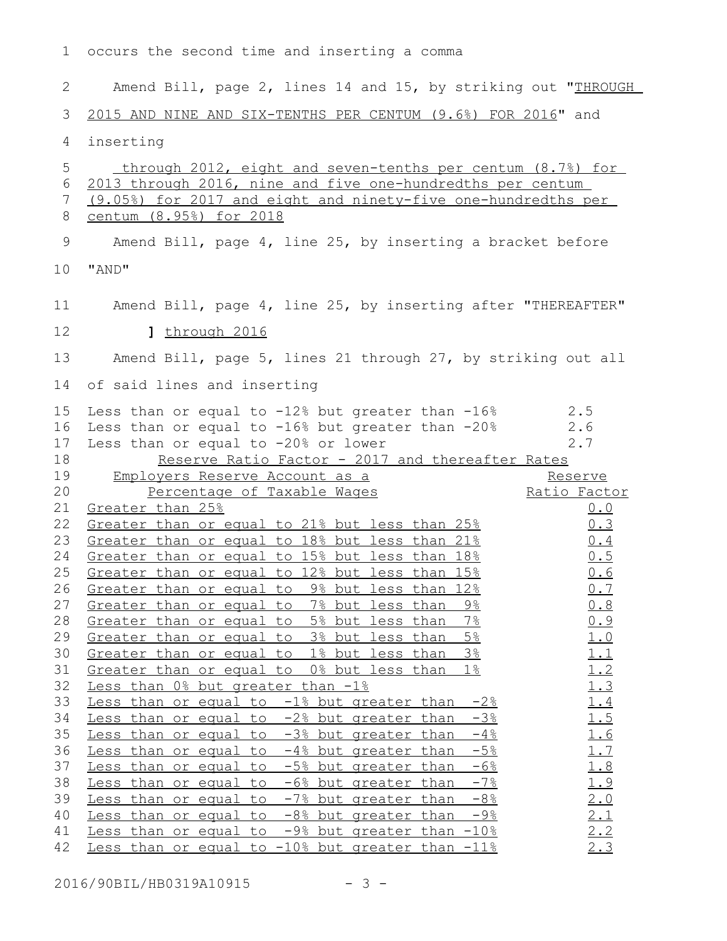occurs the second time and inserting a comma 1 Amend Bill, page 2, lines 14 and 15, by striking out "THROUGH 2

 2015 AND NINE AND SIX-TENTHS PER CENTUM (9.6%) FOR 2016" and 3

inserting 4

 through 2012, eight and seven-tenths per centum (8.7%) for 2013 through 2016, nine and five one-hundredths per centum 6 (9.05%) for 2017 and eight and ninety-five one-hundredths per centum (8.95%) for 2018 Amend Bill, page 4, line 25, by inserting a bracket before "AND" 10 Amend Bill, page 4, line 25, by inserting after "THEREAFTER" 11 **]** through 2016 Amend Bill, page 5, lines 21 through 27, by striking out all 14 of said lines and inserting 15 Less than or equal to -12% but greater than -16% 2.5 16 Less than or equal to -16% but greater than -20% 2.6 17 Less than or equal to  $-20\%$  or lower  $2.7$ Reserve Ratio Factor - 2017 and thereafter Rates Employers Reserve Account as a Percentage of Taxable Wages Reserve Ratio Factor  $21$  Greater than  $25\frac{6}{5}$   $0.0$ 22 Greater than or equal to 21% but less than 25% and  $0.3$ Greater than or equal to 18% but less than  $21\%$  0.4 24 Greater than or equal to 15% but less than 18% and the 15 25 Greater than or equal to 12% but less than 15% and the 1.6 26 Greater than or equal to 9% but less than 12% and  $0.7$ 27 Greater than or equal to 7% but less than 9% and  $0.8$ 28 Greater than or equal to 5% but less than 7% and 19 29 Greater than or equal to 3% but less than 5% and 1.0 Greater than or equal to  $1\frac{2}{5}$  but less than  $3\frac{2}{5}$   $1.1$ <br>Greater than or equal to  $0\frac{2}{5}$  but less than  $1\frac{2}{5}$   $1.2$ 31 Greater than or equal to 0% but less than 1% and 1.2  $32$  Less than  $0\frac{8}{3}$  but greater than  $-1\frac{8}{3}$  and  $1.3$ Less than or equal to  $-1\frac{2}{3}$  but greater than  $-2\frac{2}{3}$  1.4 34 Less than or equal to  $-2\frac{8}{3}$  but greater than  $-3\frac{8}{3}$  1.5 Less than or equal to  $-3\frac{8}{3}$  but greater than  $-4\frac{8}{3}$  1.6 36 Less than or equal to  $-4\frac{1}{6}$  but greater than  $-5\frac{1}{6}$  1.7 Less than or equal to  $-5$ % but greater than  $-6$ %  $1.8$ 38 Less than or equal to  $-6\frac{2}{5}$  but greater than  $-7\frac{2}{5}$  1.9 39 Less than or equal to -7% but greater than -8% 2.0 40 Less than or equal to  $-8\frac{8}{3}$  but greater than  $-9\frac{8}{3}$  2.1 41 Less than or equal to  $-9\frac{8}{3}$  but greater than  $-10\frac{8}{3}$  2.2 Less than or equal to  $-10\%$  but greater than  $-11\%$  2.3 5 7 8 9 12 13 18 19 20 23 30 33 35 37 42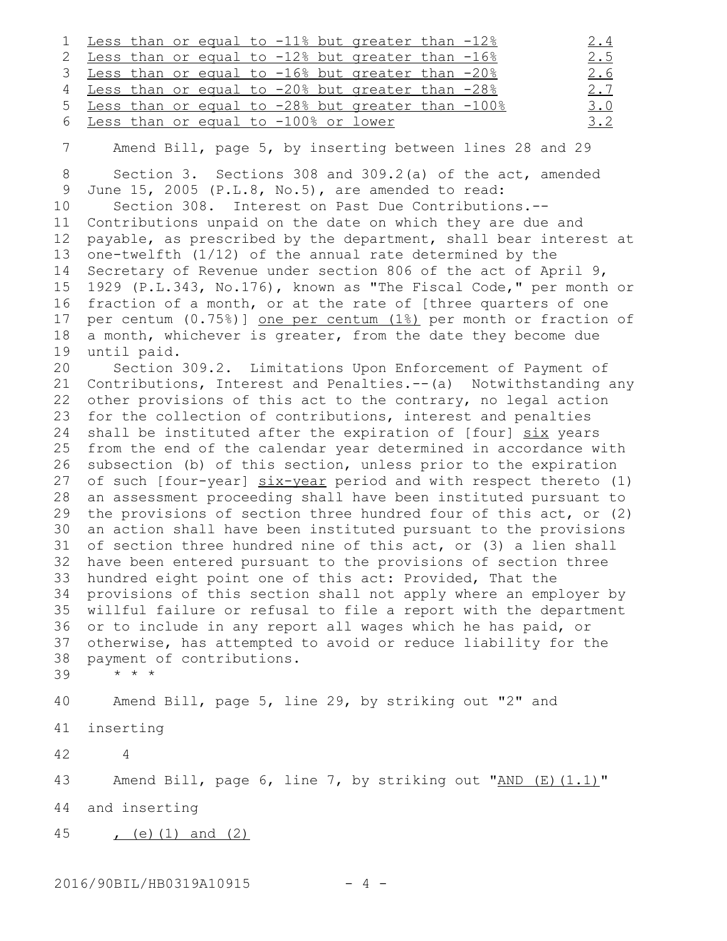|  |  |  |  | 1 Less than or equal to -11% but greater than -12%  |  | <u>2.4</u> |
|--|--|--|--|-----------------------------------------------------|--|------------|
|  |  |  |  | 2 Less than or equal to -12% but greater than -16%  |  | 2.5        |
|  |  |  |  | 3 Less than or equal to -16% but greater than -20%  |  | 2.6        |
|  |  |  |  | 4 Less than or equal to -20% but greater than -28%  |  | 2.7        |
|  |  |  |  | 5 Less than or equal to -28% but greater than -100% |  | 3.0        |
|  |  |  |  | 6 Less than or equal to -100% or lower              |  | 3.2        |
|  |  |  |  |                                                     |  |            |

7

Amend Bill, page 5, by inserting between lines 28 and 29

Section 3. Sections 308 and 309.2(a) of the act, amended June 15, 2005 (P.L.8, No.5), are amended to read: Section 308. Interest on Past Due Contributions.-- Contributions unpaid on the date on which they are due and payable, as prescribed by the department, shall bear interest at one-twelfth (1/12) of the annual rate determined by the Secretary of Revenue under section 806 of the act of April 9, 1929 (P.L.343, No.176), known as "The Fiscal Code," per month or fraction of a month, or at the rate of [three quarters of one per centum (0.75%)] one per centum (1%) per month or fraction of a month, whichever is greater, from the date they become due until paid. 8 9 10 11 12 13 14 15 16 17 18 19

Section 309.2. Limitations Upon Enforcement of Payment of Contributions, Interest and Penalties.--(a) Notwithstanding any other provisions of this act to the contrary, no legal action for the collection of contributions, interest and penalties shall be instituted after the expiration of [four] six years from the end of the calendar year determined in accordance with subsection (b) of this section, unless prior to the expiration 27 of such [four-year] six-year period and with respect thereto (1) an assessment proceeding shall have been instituted pursuant to the provisions of section three hundred four of this act, or (2) an action shall have been instituted pursuant to the provisions of section three hundred nine of this act, or (3) a lien shall have been entered pursuant to the provisions of section three hundred eight point one of this act: Provided, That the provisions of this section shall not apply where an employer by willful failure or refusal to file a report with the department or to include in any report all wages which he has paid, or otherwise, has attempted to avoid or reduce liability for the payment of contributions. \* \* \* 20 21 22 23 24 25 26 28 29 30 31 32 33 34 35 36 37 38

39

Amend Bill, page 5, line 29, by striking out "2" and 40

inserting 41

42

Amend Bill, page 6, line 7, by striking out " $AND (E) (1.1)$ " 43

and inserting 44

4

 $(e)$  (1) and (2) 45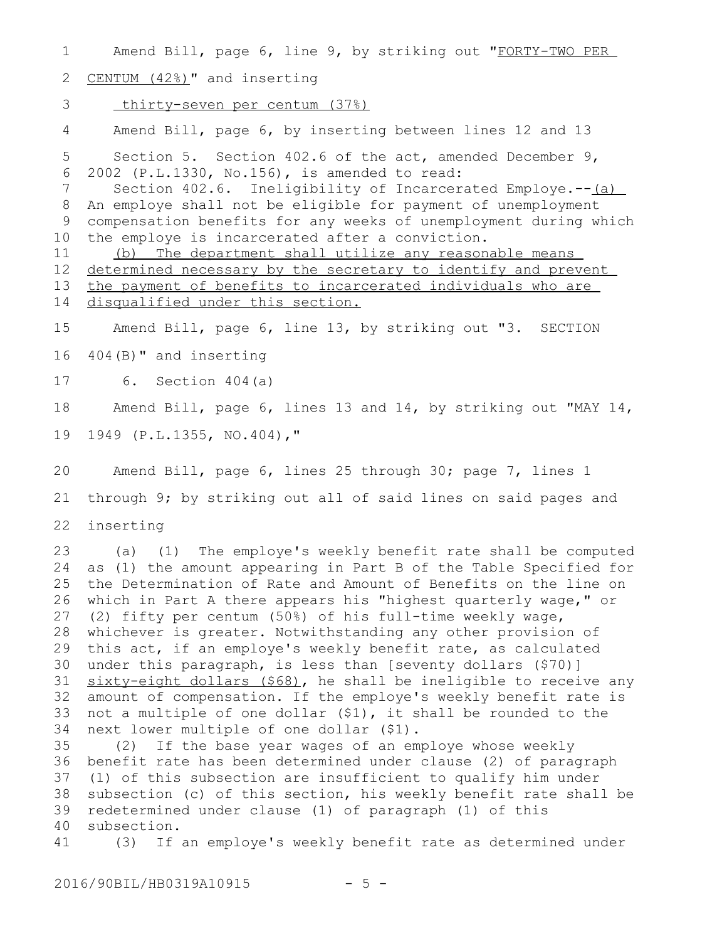Amend Bill, page 6, line 9, by striking out "FORTY-TWO PER CENTUM (42%)" and inserting thirty-seven per centum (37%) Amend Bill, page 6, by inserting between lines 12 and 13 Section 5. Section 402.6 of the act, amended December 9, 2002 (P.L.1330, No.156), is amended to read: Section 402.6. Ineligibility of Incarcerated Employe.--(a) An employe shall not be eligible for payment of unemployment compensation benefits for any weeks of unemployment during which the employe is incarcerated after a conviction. (b) The department shall utilize any reasonable means determined necessary by the secretary to identify and prevent the payment of benefits to incarcerated individuals who are disqualified under this section. Amend Bill, page 6, line 13, by striking out "3. SECTION 404(B)" and inserting 6. Section 404(a) Amend Bill, page 6, lines 13 and 14, by striking out "MAY 14, 1949 (P.L.1355, NO.404)," Amend Bill, page 6, lines 25 through 30; page 7, lines 1 through 9; by striking out all of said lines on said pages and inserting (a) (1) The employe's weekly benefit rate shall be computed as (1) the amount appearing in Part B of the Table Specified for the Determination of Rate and Amount of Benefits on the line on which in Part A there appears his "highest quarterly wage," or (2) fifty per centum (50%) of his full-time weekly wage, whichever is greater. Notwithstanding any other provision of this act, if an employe's weekly benefit rate, as calculated under this paragraph, is less than [seventy dollars (\$70)] sixty-eight dollars (\$68), he shall be ineligible to receive any amount of compensation. If the employe's weekly benefit rate is not a multiple of one dollar (\$1), it shall be rounded to the next lower multiple of one dollar (\$1). (2) If the base year wages of an employe whose weekly benefit rate has been determined under clause (2) of paragraph 36 (1) of this subsection are insufficient to qualify him under subsection (c) of this section, his weekly benefit rate shall be redetermined under clause (1) of paragraph (1) of this subsection. (3) If an employe's weekly benefit rate as determined under 1 2 3 4 5 6 7 8 9 10 11 12 13 14 15 16 17 18 19 20 21 22 23 24 25 26 27 28 29 30 31 32 33 34 35 37 38 39 40 41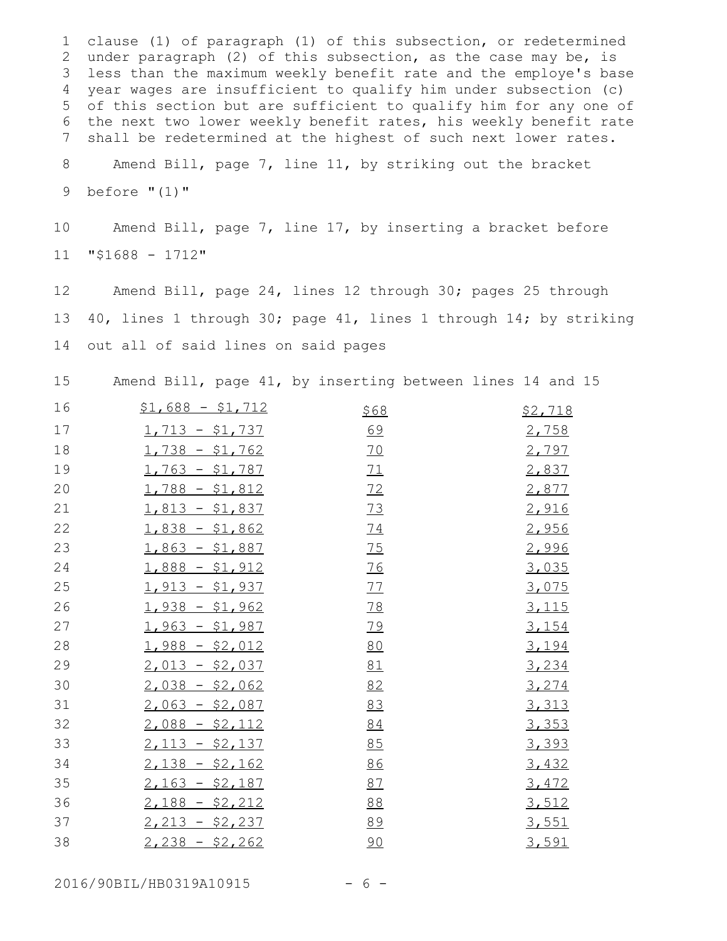clause (1) of paragraph (1) of this subsection, or redetermined 1 2 under paragraph (2) of this subsection, as the case may be, is less than the maximum weekly benefit rate and the employe's base 3 year wages are insufficient to qualify him under subsection (c) 4 of this section but are sufficient to qualify him for any one of 5 the next two lower weekly benefit rates, his weekly benefit rate shall be redetermined at the highest of such next lower rates. Amend Bill, page 7, line 11, by striking out the bracket 6 7 8

before "(1)" 9

Amend Bill, page 7, line 17, by inserting a bracket before "\$1688 - 1712" 10 11

Amend Bill, page 24, lines 12 through 30; pages 25 through 40, lines 1 through 30; page 41, lines 1 through 14; by striking out all of said lines on said pages 12 13 14

Amend Bill, page 41, by inserting between lines 14 and 15 15

| 16 | $$1,688 - $1,712$ | \$68      | \$2,718      |
|----|-------------------|-----------|--------------|
| 17 | $1,713 - $1,737$  | 69        | 2,758        |
| 18 | $1,738 - $1,762$  | <u>70</u> | 2,797        |
| 19 | $1,763 - $1,787$  | 71        | 2,837        |
| 20 | $1,788 - $1,812$  | 72        | 2,877        |
| 21 | $1,813 - $1,837$  | 73        | 2,916        |
| 22 | $1,838 - $1,862$  | 74        | 2,956        |
| 23 | $1,863 - $1,887$  | 75        | 2,996        |
| 24 | $1,888 - $1,912$  | 76        | 3,035        |
| 25 | $1,913 - $1,937$  | 77        | 3,075        |
| 26 | $1,938 - $1,962$  | 78        | <u>3,115</u> |
| 27 | $1,963 - $1,987$  | 79        | 3,154        |
| 28 | $1,988 - $2,012$  | 80        | 3,194        |
| 29 | $2,013 - $2,037$  | 81        | 3,234        |
| 30 | $2,038 - $2,062$  | 82        | 3,274        |
| 31 | $2,063 - $2,087$  | 83        | 3,313        |
| 32 | $2,088 - $2,112$  | 84        | 3,353        |
| 33 | $2,113 - $2,137$  | 85        | 3,393        |
| 34 | $2,138 - $2,162$  | 86        | 3,432        |
| 35 | $2,163 - $2,187$  | 87        | 3,472        |
| 36 | $2,188 - $2,212$  | 88        | 3,512        |
| 37 | $2,213 - $2,237$  | 89        | 3,551        |
| 38 | $2,238 - $2,262$  | 90        | 3,591        |

2016/90BIL/HB0319A10915 - 6 -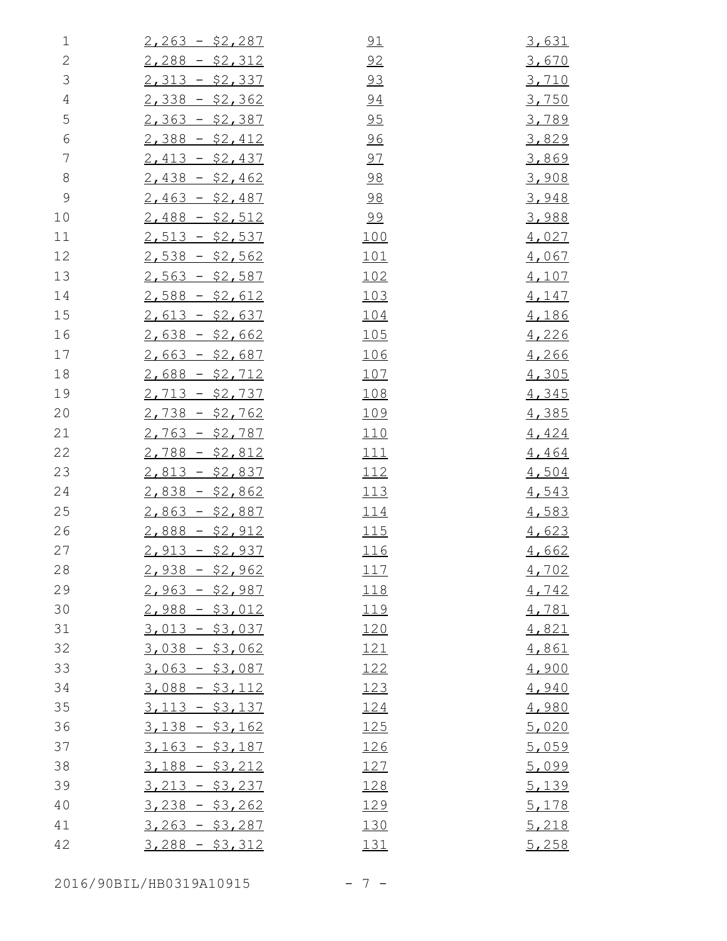| $\mathbf 1$   | $2,263 - $2,287$ | 91          | 3,631 |
|---------------|------------------|-------------|-------|
| $\mathbf{2}$  | $2,288 - $2,312$ | 92          | 3,670 |
| $\mathcal{S}$ | $2,313 - $2,337$ | 93          | 3,710 |
| $\sqrt{4}$    | $2,338 - $2,362$ | 94          | 3,750 |
| 5             | $2,363 - $2,387$ | 95          | 3,789 |
| $\epsilon$    | $2,388 - $2,412$ | 96          | 3,829 |
| 7             | $2,413 - $2,437$ | 97          | 3,869 |
| $\,8\,$       | $2,438 - $2,462$ | 98          | 3,908 |
| $\mathcal{G}$ | $2,463 - $2,487$ | 98          | 3,948 |
| 10            | $2,488 - $2,512$ | 99          | 3,988 |
| 11            | $2,513 - $2,537$ | 100         | 4,027 |
| 12            | $2,538 - $2,562$ | 101         | 4,067 |
| 13            | $2,563 - $2,587$ | 102         | 4,107 |
| 14            | $2,588 - $2,612$ | 103         | 4,147 |
| 15            | $2,613 - $2,637$ | 104         | 4,186 |
| 16            | $2,638 - $2,662$ | <u> 105</u> | 4,226 |
| 17            | $2,663 - $2,687$ | <u> 106</u> | 4,266 |
| 18            | $2,688 - $2,712$ | 107         | 4,305 |
| 19            | $2,713 - $2,737$ | 108         | 4,345 |
| 20            | $2,738 - $2,762$ | 109         | 4,385 |
| 21            | $2,763 - $2,787$ | 110         | 4,424 |
| 22            | $2,788 - $2,812$ | 111         | 4,464 |
| 23            | $2,813 - $2,837$ | 112         | 4,504 |
| 24            | $2,838 - $2,862$ | 113         | 4,543 |
| 25            | $2,863 - $2,887$ | 114         | 4,583 |
| 26            | $2,888 - $2,912$ | 115         | 4,623 |
| 27            | $2,913 - $2,937$ | 116         | 4,662 |
| 28            | $2,938 - $2,962$ | 117         | 4,702 |
| 29            | $2,963 - $2,987$ | 118         | 4,742 |
| 30            | $2,988 - $3,012$ | 119         | 4,781 |
| 31            | $3,013 - $3,037$ | 120         | 4,821 |
| 32            | $3,038 - $3,062$ | 121         | 4,861 |
| 33            | $3,063 - $3,087$ | 122         | 4,900 |
| 34            | $3,088 - $3,112$ | 123         | 4,940 |
| 35            | $3,113 - $3,137$ | 124         | 4,980 |
| 36            | $3,138 - $3,162$ | 125         | 5,020 |
| 37            | $3,163 - $3,187$ | 126         | 5,059 |
| 38            | $3,188 - $3,212$ | 127         | 5,099 |
| 39            | $3,213 - $3,237$ | 128         | 5,139 |
| 40            | $3,238 - $3,262$ | 129         | 5,178 |
| 41            | $3,263 - $3,287$ | 130         | 5,218 |
| 42            | $3,288 - $3,312$ | 131         | 5,258 |

2016/90BIL/HB0319A10915 - 7 -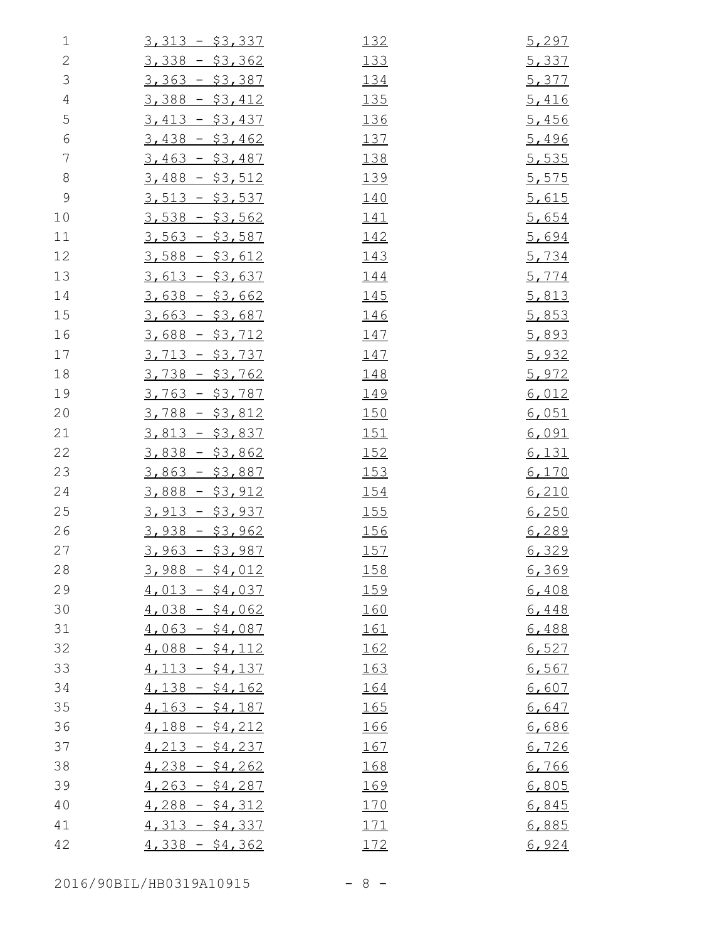| $\mathbf 1$    | $3,313 - $3,337$       | 132         | 5,297 |
|----------------|------------------------|-------------|-------|
| $\mathbf{2}$   | $3,338 - $3,362$       | 133         | 5,337 |
| $\mathcal{S}$  | $3,363 - $3,387$       | 134         | 5,377 |
| $\overline{4}$ | $3,388 - $3,412$       | <u> 135</u> | 5,416 |
| 5              | $3,413 - $3,437$       | 136         | 5,456 |
| $\epsilon$     | $3,438 - $3,462$       | 137         | 5,496 |
| $\overline{7}$ | $3,463 - $3,487$       | 138         | 5,535 |
| $\,8\,$        | $3,488 - $3,512$       | 139         | 5,575 |
| $\mathsf 9$    | $3,513 - $3,537$       | <u> 140</u> | 5,615 |
| 10             | $3,538 - $3,562$       | <u> 141</u> | 5,654 |
| 11             | $3,563 - $3,587$       | 142         | 5,694 |
| 12             | $3,588 - $3,612$       | 143         | 5,734 |
| 13             | $3,613 - $3,637$       | 144         | 5,774 |
| 14             | $3,638 - $3,662$       | <u> 145</u> | 5,813 |
| 15             | $3,663 - $3,687$       | 146         | 5,853 |
| 16             | $3,688 - $3,712$       | <u> 147</u> | 5,893 |
| 17             | $3,713 - $3,737$       | 147         | 5,932 |
| 18             | $3,738 - $3,762$       | 148         | 5,972 |
| 19             | <u>3,763 - \$3,787</u> | <u> 149</u> | 6,012 |
| 20             | $3,788 - $3,812$       | 150         | 6,051 |
| 21             | $3,813 - $3,837$       | 151         | 6,091 |
| 22             | $3,838 - $3,862$       | 152         | 6,131 |
| 23             | $3,863 - $3,887$       | 153         | 6,170 |
| 24             | $3,888 - $3,912$       | 154         | 6,210 |
| 25             | $3,913 - $3,937$       | <u>155</u>  | 6,250 |
| 26             | $3,938 - $3,962$       | 156         | 6,289 |
| 27             | $3,963 - $3,987$       | 157         | 6,329 |
| 28             | $3,988 - $4,012$       | <u> 158</u> | 6,369 |
| 29             | $4,013 - $4,037$       | 159         | 6,408 |
| 30             | $4,038 - $4,062$       | 160         | 6,448 |
| 31             | $4,063 - $4,087$       | 161         | 6,488 |
| 32             | $4,088 - $4,112$       | 162         | 6,527 |
| 33             | $4,113 - $4,137$       | 163         | 6,567 |
| 34             | $4,138 - $4,162$       | 164         | 6,607 |
| 35             | $4,163 - $4,187$       | 165         | 6,647 |
| 36             | $4,188 - $4,212$       | 166         | 6,686 |
| 37             | $4,213 - $4,237$       | <u> 167</u> | 6,726 |
| 38             | $4,238 - $4,262$       | 168         | 6,766 |
| 39             | $4,263 - $4,287$       | 169         | 6,805 |
| 40             | $4,288 - $4,312$       | 170         | 6,845 |
| 41             | $4,313 - $4,337$       | 171         | 6,885 |
| 42             | $4,338 - $4,362$       | 172         | 6,924 |

2016/90BIL/HB0319A10915 - 8 -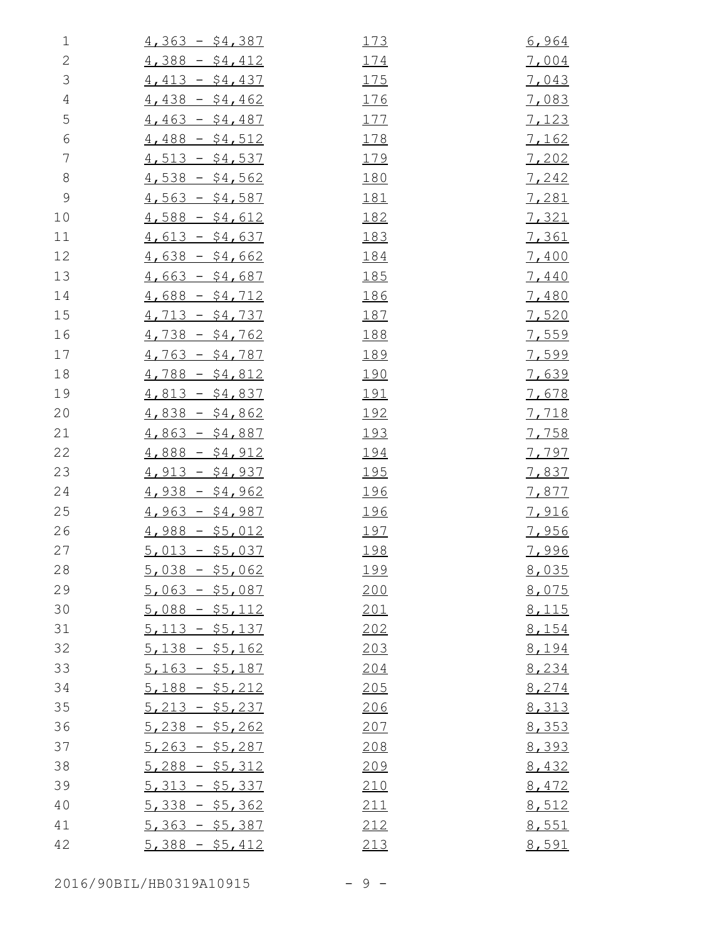| $\mathbf 1$    | $4,363 - $4,387$ | 173         | 6,964        |
|----------------|------------------|-------------|--------------|
| $\mathbf{2}$   | $4,388 - $4,412$ | 174         | 7,004        |
| $\mathfrak{Z}$ | $4,413 - $4,437$ | 175         | 7,043        |
| $\overline{4}$ | $4,438 - $4,462$ | 176         | 7,083        |
| 5              | $4,463 - $4,487$ | 177         | 7,123        |
| $\epsilon$     | $4,488 - $4,512$ | 178         | <u>7,162</u> |
| $\overline{7}$ | $4,513 - $4,537$ | 179         | 7,202        |
| 8              | $4,538 - $4,562$ | 180         | 7,242        |
| $\mathcal{G}$  | $4,563 - $4,587$ | <u> 181</u> | 7,281        |
| 10             | $4,588 - $4,612$ | 182         | 7,321        |
| 11             | $4,613 - $4,637$ | 183         | <u>7,361</u> |
| 12             | $4,638 - $4,662$ | 184         | 7,400        |
| 13             | $4,663 - $4,687$ | <u> 185</u> | 7,440        |
| 14             | $4,688 - $4,712$ | 186         | 7,480        |
| 15             | $4,713 - $4,737$ | 187         | 7,520        |
| 16             | $4,738 - $4,762$ | 188         | 7,559        |
| 17             | $4,763 - $4,787$ | 189         | 7,599        |
| 18             | $4,788 - $4,812$ | <u> 190</u> | 7,639        |
| 19             | $4,813 - $4,837$ | <u> 191</u> | 7,678        |
| 20             | $4,838 - $4,862$ | <u> 192</u> | 7,718        |
| 21             | $4,863 - $4,887$ | <u> 193</u> | 7,758        |
| 22             | $4,888 - $4,912$ | 194         | 7,797        |
| 23             | $4,913 - $4,937$ | 195         | 7,837        |
| 24             | $4,938 - $4,962$ | 196         | 7,877        |
| 25             | $4,963 - $4,987$ | <u> 196</u> | 7,916        |
| 26             | $4,988 - $5,012$ | 197         | 7,956        |
| 27             | $5,013 - $5,037$ | 198         | <u>7,996</u> |
| 28             | $5,038 - $5,062$ | <u> 199</u> | 8,035        |
| 29             | $5,063 - $5,087$ | 200         | 8,075        |
| 30             | $5,088 - $5,112$ | 201         | 8,115        |
| 31             | $5,113 - $5,137$ | 202         | 8,154        |
| 32             | $5,138 - $5,162$ | 203         | 8,194        |
| 33             | $5,163 - $5,187$ | 204         | 8,234        |
| 34             | $5,188 - $5,212$ | 205         | 8,274        |
| 35             | $5,213 - $5,237$ | 206         | 8,313        |
| 36             | $5,238 - $5,262$ | 207         | 8,353        |
| 37             | $5,263 - $5,287$ | 208         | 8,393        |
| 38             | $5,288 - $5,312$ | 209         | 8,432        |
| 39             | $5,313 - $5,337$ | 210         | 8,472        |
| 40             | $5,338 - $5,362$ | 211         | 8,512        |
| 41             | $5,363 - $5,387$ | 212         | 8,551        |
| 42             | $5,388 - $5,412$ | 213         | 8,591        |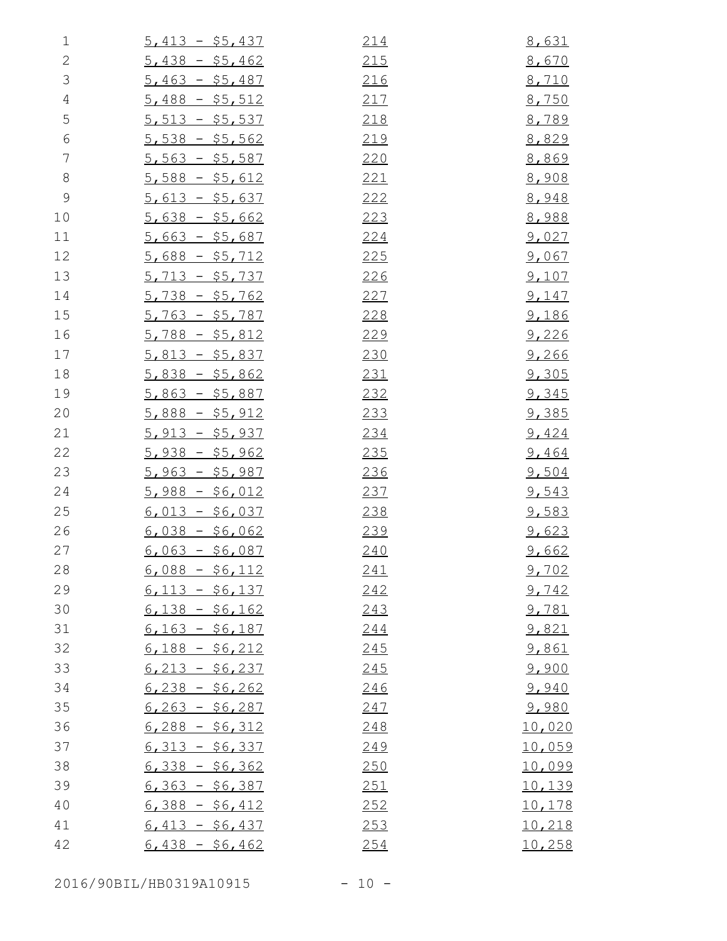| $\mathbf 1$    | $5,413 - $5,437$ | 214         | 8,631         |
|----------------|------------------|-------------|---------------|
| $\sqrt{2}$     | $5,438 - $5,462$ | 215         | 8,670         |
| $\mathfrak{Z}$ | $5,463 - $5,487$ | 216         | 8,710         |
| $\overline{4}$ | $5,488 - $5,512$ | 217         | 8,750         |
| 5              | $5,513 - $5,537$ | 218         | 8,789         |
| $\sqrt{6}$     | $5,538 - $5,562$ | 219         | 8,829         |
| $\overline{7}$ | $5,563 - $5,587$ | 220         | 8,869         |
| $\,8\,$        | $5,588 - $5,612$ | 221         | 8,908         |
| $\mathcal{G}$  | $5,613 - $5,637$ | 222         | 8,948         |
| 10             | $5,638 - $5,662$ | 223         | 8,988         |
| 11             | $5,663 - $5,687$ | <u>224</u>  | <u>9,027</u>  |
| 12             | $5,688 - $5,712$ | <u> 225</u> | 9,067         |
| 13             | $5,713 - $5,737$ | 226         | 9,107         |
| 14             | $5,738 - $5,762$ | 227         | 9,147         |
| 15             | $5,763 - $5,787$ | 228         | 9,186         |
| 16             | $5,788 - $5,812$ | 229         | 9,226         |
| 17             | $5,813 - $5,837$ | 230         | 9,266         |
| 18             | $5,838 - $5,862$ | 231         | 9,305         |
| 19             | $5,863 - $5,887$ | 232         | 9,345         |
| 20             | $5,888 - $5,912$ | 233         | <u>9,385</u>  |
| 21             | $5,913 - $5,937$ | 234         | 9,424         |
| 22             | $5,938 - $5,962$ | 235         | 9,464         |
| 23             | $5,963 - $5,987$ | 236         | 9,504         |
| 24             | $5,988 - $6,012$ | 237         | 9,543         |
| 25             | $6,013 - $6,037$ | 238         | 9,583         |
| 26             | $6,038 - $6,062$ | 239         | 9,623         |
| 27             | $6,063 - $6,087$ | 240         | 9,662         |
| 28             | $6,088 - $6,112$ | 241         | 9,702         |
| 29             | $6,113 - $6,137$ | 242         | 9,742         |
| 30             | $6,138 - $6,162$ | 243         | 9,781         |
| 31             | $6,163 - $6,187$ | 244         | 9,821         |
| 32             | $6,188 - $6,212$ | 245         | 9,861         |
| 33             | $6,213 - 56,237$ | 245         | 9,900         |
| 34             | $6,238 - $6,262$ | 246         | 9,940         |
| 35             | $6,263 - $6,287$ | 247         | 9,980         |
| 36             | $6,288 - $6,312$ | 248         | 10,020        |
| 37             | $6,313 - 56,337$ | 249         | 10,059        |
| 38             | $6,338 - 56,362$ | 250         | 10,099        |
| 39             | $6,363 - $6,387$ | 251         | 10,139        |
| 40             | $6,388 - $6,412$ | 252         | <u>10,178</u> |
| 41             | $6,413 - 56,437$ | 253         | 10,218        |
| 42             | $6,438 - $6,462$ | 254         | 10,258        |

2016/90BIL/HB0319A10915 - 10 -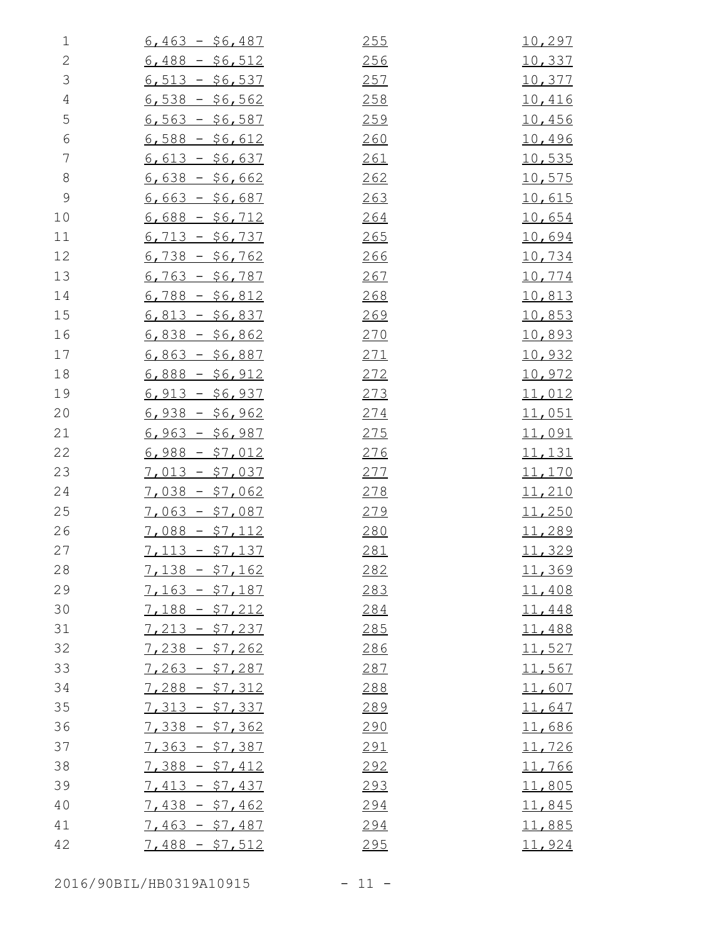| $\mathbf 1$    | $6,463 - $6,487$ | 255 | 10,297         |
|----------------|------------------|-----|----------------|
| $\sqrt{2}$     | $6,488 - $6,512$ | 256 | 10,337         |
| $\mathfrak{Z}$ | $6,513 - $6,537$ | 257 | 10,377         |
| $\sqrt{4}$     | $6,538 - $6,562$ | 258 | <u>10,416</u>  |
| 5              | $6,563 - 56,587$ | 259 | 10,456         |
| $\epsilon$     | $6,588 - $6,612$ | 260 | 10,496         |
| $\overline{7}$ | $6,613 - 56,637$ | 261 | <u>10,535</u>  |
| $\,8\,$        | $6,638 - $6,662$ | 262 | 10,575         |
| $\mathcal{G}$  | $6,663 - $6,687$ | 263 | 10,615         |
| 10             | $6,688 - $6,712$ | 264 | 10,654         |
| 11             | $6,713 - $6,737$ | 265 | 10,694         |
| 12             | $6,738 - $6,762$ | 266 | 10,734         |
| 13             | $6,763 - $6,787$ | 267 | 10,774         |
| 14             | $6,788 - $6,812$ | 268 | 10,813         |
| 15             | $6,813 - $6,837$ | 269 | <u>10,853</u>  |
| 16             | $6,838 - $6,862$ | 270 | <u>10,893</u>  |
| 17             | $6,863 - $6,887$ | 271 | 10,932         |
| 18             | $6,888 - $6,912$ | 272 | 10,972         |
| 19             | $6,913 - $6,937$ | 273 | <u>11,012</u>  |
| 20             | $6,938 - $6,962$ | 274 | 11,051         |
| 21             | $6,963 - $6,987$ | 275 | 11,091         |
| 22             | $6,988 - $7,012$ | 276 | <u> 11,131</u> |
| 23             | $7,013 - $7,037$ | 277 | 11,170         |
| 24             | $7,038 - $7,062$ | 278 | 11,210         |
| 25             | $7,063 - $7,087$ | 279 | <u>11,250</u>  |
| 26             | $7,088 - $7,112$ | 280 | 11,289         |
| 27             | $7,113 - $7,137$ | 281 | 11,329         |
| 28             | $7,138 - $7,162$ | 282 | 11,369         |
| 29             | $7,163 - $7,187$ | 283 | 11,408         |
| 30             | $7,188 - $7,212$ | 284 | 11,448         |
| 31             | $7,213 - $7,237$ | 285 | 11,488         |
| 32             | $7,238 - $7,262$ | 286 | 11,527         |
| 33             | $7,263 - $7,287$ | 287 | 11,567         |
| 34             | $7,288 - $7,312$ | 288 | 11,607         |
| 35             | $7,313 - $7,337$ | 289 | 11,647         |
| 36             | $7,338 - $7,362$ | 290 | 11,686         |
| 37             | $7,363 - $7,387$ | 291 | 11,726         |
| 38             | $7,388 - $7,412$ | 292 | 11,766         |
| 39             | $7,413 - $7,437$ | 293 | 11,805         |
| 40             | $7,438 - $7,462$ | 294 | <u>11,845</u>  |
| 41             | $7,463 - $7,487$ | 294 | 11,885         |
| 42             | $7,488 - $7,512$ | 295 | 11,924         |

2016/90BIL/HB0319A10915 - 11 -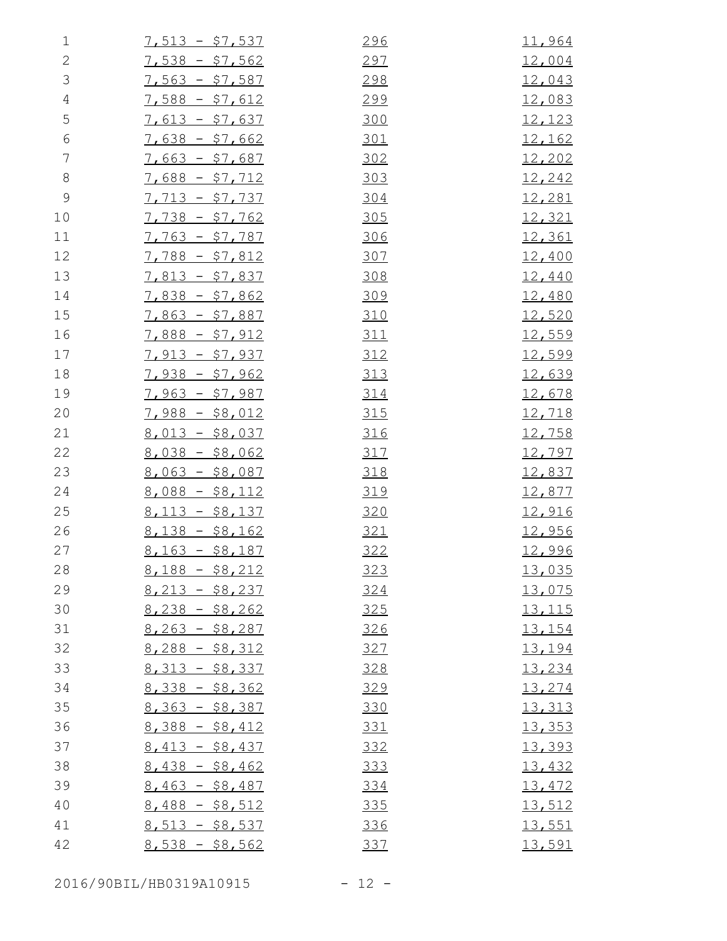| $\mathbf 1$   | $7,513 - $7,537$ | 296 | 11,964        |
|---------------|------------------|-----|---------------|
| $\sqrt{2}$    | $7,538 - $7,562$ | 297 | <u>12,004</u> |
| $\mathcal{S}$ | $7,563 - $7,587$ | 298 | 12,043        |
| $\sqrt{4}$    | $7,588 - $7,612$ | 299 | 12,083        |
| 5             | $7,613 - $7,637$ | 300 | 12,123        |
| $\epsilon$    | $7,638 - $7,662$ | 301 | <u>12,162</u> |
| 7             | $7,663 - $7,687$ | 302 | 12,202        |
| $\,8\,$       | $7,688 - $7,712$ | 303 | 12,242        |
| $\mathsf 9$   | $7,713 - $7,737$ | 304 | 12,281        |
| 10            | $7,738 - $7,762$ | 305 | <u>12,321</u> |
| 11            | $7,763 - $7,787$ | 306 | <u>12,361</u> |
| 12            | $7,788 - $7,812$ | 307 | 12,400        |
| 13            | $7,813 - $7,837$ | 308 | 12,440        |
| 14            | $7,838 - $7,862$ | 309 | <u>12,480</u> |
| 15            | $7,863 - $7,887$ | 310 | 12,520        |
| 16            | $7,888 - $7,912$ | 311 | 12,559        |
| 17            | $7,913 - $7,937$ | 312 | 12,599        |
| 18            | $7,938 - $7,962$ | 313 | <u>12,639</u> |
| 19            | $7,963 - $7,987$ | 314 | 12,678        |
| 20            | $7,988 - $8,012$ | 315 | <u>12,718</u> |
| 21            | $8,013 - $8,037$ | 316 | 12,758        |
| 22            | $8,038 - $8,062$ | 317 | 12,797        |
| 23            | $8,063 - $8,087$ | 318 | 12,837        |
| 24            | $8,088 - $8,112$ | 319 | 12,877        |
| 25            | $8,113 - $8,137$ | 320 | 12,916        |
| 26            | $8,138 - $8,162$ | 321 | <u>12,956</u> |
| 27            | $8,163 - $8,187$ | 322 | 12,996        |
| 28            | $8,188 - $8,212$ | 323 | 13,035        |
| 29            | $8,213 - $8,237$ | 324 | 13,075        |
| 30            | $8,238 - $8,262$ | 325 | <u>13,115</u> |
| 31            | $8,263 - $8,287$ | 326 | 13,154        |
| 32            | $8,288 - $8,312$ | 327 | 13,194        |
| 33            | $8,313 - $8,337$ | 328 | 13,234        |
| 34            | $8,338 - $8,362$ | 329 | 13,274        |
| 35            | $8,363 - $8,387$ | 330 | 13,313        |
| 36            | $8,388 - $8,412$ | 331 | 13,353        |
| 37            | $8,413 - $8,437$ | 332 | 13,393        |
| 38            | $8,438 - $8,462$ | 333 | 13,432        |
| 39            | $8,463 - $8,487$ | 334 | 13,472        |
| 40            | $8,488 - $8,512$ | 335 | 13,512        |
| 41            | $8,513 - $8,537$ | 336 | 13,551        |
| 42            | $8,538 - $8,562$ | 337 | 13,591        |

2016/90BIL/HB0319A10915 - 12 -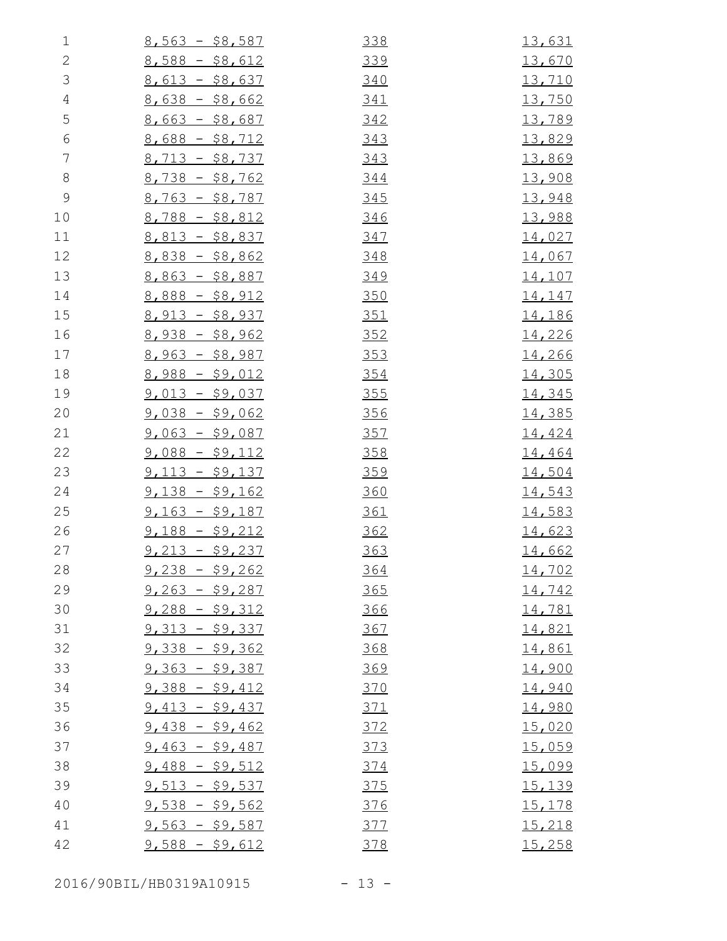| $\mathbf 1$    | $8,563 - $8,587$ | 338        | <u>13,631</u> |
|----------------|------------------|------------|---------------|
| $\mathbf{2}$   | $8,588 - $8,612$ | 339        | 13,670        |
| $\mathfrak{Z}$ | $8,613 - $8,637$ | 340        | <u>13,710</u> |
| $\sqrt{4}$     | $8,638 - $8,662$ | 341        | 13,750        |
| 5              | $8,663 - $8,687$ | 342        | 13,789        |
| $\sqrt{6}$     | $8,688 - $8,712$ | 343        | 13,829        |
| $\overline{7}$ | $8,713 - $8,737$ | 343        | 13,869        |
| $8\,$          | $8,738 - $8,762$ | 344        | 13,908        |
| $\mathcal{G}$  | $8,763 - $8,787$ | 345        | 13,948        |
| 10             | $8,788 - $8,812$ | 346        | 13,988        |
| 11             | $8,813 - $8,837$ | 347        | 14,027        |
| 12             | $8,838 - $8,862$ | 348        | 14,067        |
| 13             | $8,863 - $8,887$ | 349        | <u>14,107</u> |
| 14             | $8,888 - $8,912$ | 350        | 14,147        |
| 15             | $8,913 - $8,937$ | 351        | <u>14,186</u> |
| 16             | $8,938 - $8,962$ | 352        | 14,226        |
| 17             | $8,963 - $8,987$ | 353        | 14,266        |
| 18             | $8,988 - $9,012$ | 354        | 14,305        |
| 19             | $9,013 - $9,037$ | 355        | 14,345        |
| 20             | $9,038 - $9,062$ | 356        | <u>14,385</u> |
| 21             | $9,063 - $9,087$ | 357        | 14,424        |
| 22             | $9,088 - $9,112$ | 358        | 14,464        |
| 23             | $9,113 - $9,137$ | 359        | 14,504        |
| 24             | $9,138 - $9,162$ | 360        | 14,543        |
| 25             | $9,163 - $9,187$ | <u>361</u> | 14,583        |
| 26             | $9,188 - $9,212$ | 362        | 14,623        |
| 27             | $9,213 - $9,237$ | 363        | <u>14,662</u> |
| 28             | $9,238 - $9,262$ | <u>364</u> | 14,702        |
| 29             | $9,263 - $9,287$ | 365        | 14,742        |
| 30             | $9,288 - $9,312$ | 366        | <u>14,781</u> |
| 31             | $9,313 - $9,337$ | 367        | 14,821        |
| 32             | $9,338 - $9,362$ | 368        | <u>14,861</u> |
| 33             | $9,363 - $9,387$ | 369        | 14,900        |
| 34             | $9,388 - $9,412$ | 370        | 14,940        |
| 35             | $9,413 - $9,437$ | 371        | 14,980        |
| 36             | $9,438 - $9,462$ | 372        | 15,020        |
| 37             | $9,463 - $9,487$ | <u>373</u> | 15,059        |
| 38             | $9,488 - $9,512$ | 374        | 15,099        |
| 39             | $9,513 - $9,537$ | 375        | 15,139        |
| 40             | $9,538 - $9,562$ | 376        | 15,178        |
| 41             | $9,563 - $9,587$ | 377        | 15,218        |
| 42             | $9,588 - $9,612$ | 378        | 15,258        |
|                |                  |            |               |

2016/90BIL/HB0319A10915 - 13 -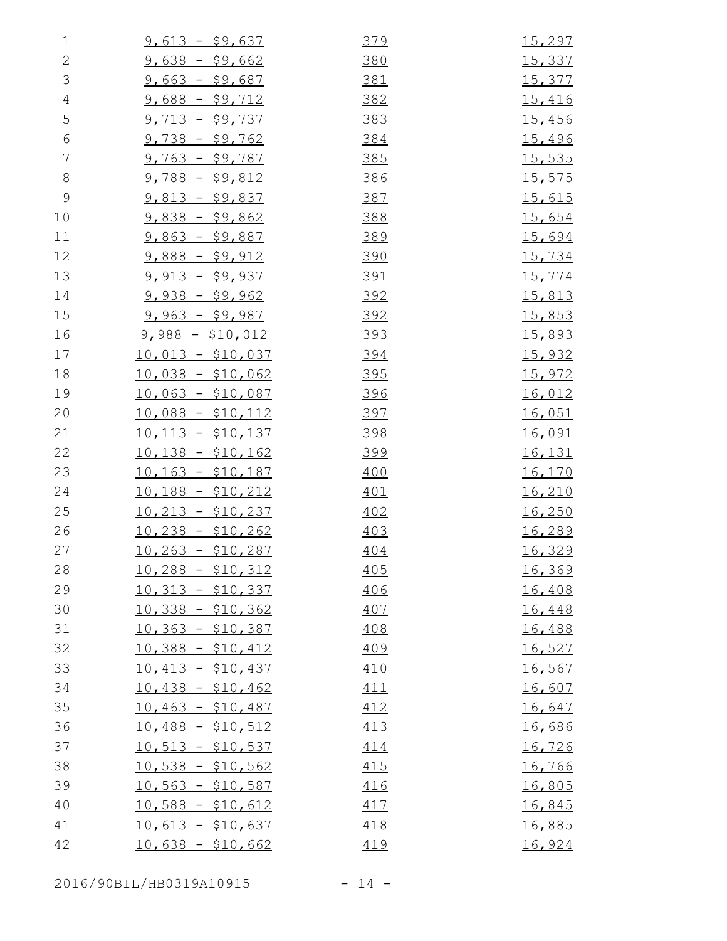| $\mathbf 1$    | $9,613 - $9,637$   | 379        | <u>15,297</u> |
|----------------|--------------------|------------|---------------|
| $\mathbf{2}$   | $9,638 - $9,662$   | 380        | 15,337        |
| $\mathfrak{Z}$ | $9,663 - $9,687$   | 381        | <u>15,377</u> |
| $\sqrt{4}$     | $9,688 - $9,712$   | 382        | 15,416        |
| 5              | $9,713 - $9,737$   | 383        | 15,456        |
| $\sqrt{6}$     | $9,738 - $9,762$   | 384        | 15,496        |
| $\overline{7}$ | $9,763 - $9,787$   | 385        | <u>15,535</u> |
| $8\,$          | $9,788 - $9,812$   | 386        | 15,575        |
| $\mathcal{G}$  | $9,813 - $9,837$   | 387        | 15,615        |
| 10             | $9,838 - $9,862$   | 388        | 15,654        |
| 11             | $9,863 - $9,887$   | 389        | <u>15,694</u> |
| 12             | $9,888 - $9,912$   | <u>390</u> | 15,734        |
| 13             | $9,913 - $9,937$   | 391        | 15,774        |
| 14             | $9,938 - $9,962$   | 392        | <u>15,813</u> |
| 15             | $9,963 - $9,987$   | 392        | <u>15,853</u> |
| 16             | $9,988 - $10,012$  | <u>393</u> | 15,893        |
| 17             | $10,013 - $10,037$ | <u>394</u> | <u>15,932</u> |
| 18             | $10,038 - $10,062$ | 395        | <u>15,972</u> |
| 19             | $10,063 - $10,087$ | <u>396</u> | <u>16,012</u> |
| 20             | $10,088 - $10,112$ | <u>397</u> | 16,051        |
| 21             | $10,113 - $10,137$ | 398        | <u>16,091</u> |
| 22             | $10,138 - $10,162$ | <u>399</u> | <u>16,131</u> |
| 23             | $10,163 - $10,187$ | 400        | <u>16,170</u> |
| 24             | $10,188 - $10,212$ | 401        | 16,210        |
| 25             | $10,213 - $10,237$ | 402        | <u>16,250</u> |
| 26             | $10,238 - $10,262$ | 403        | 16,289        |
| 27             | $10,263 - $10,287$ | 404        | 16,329        |
| 28             | $10,288 - $10,312$ | 405        | 16,369        |
| 29             | $10,313 - $10,337$ | 406        | 16,408        |
| 30             | $10,338 - $10,362$ | 407        | 16,448        |
| 31             | $10,363 - $10,387$ | 408        | 16,488        |
| 32             | $10,388 - $10,412$ | 409        | 16,527        |
| 33             | $10,413 - $10,437$ | 410        | 16,567        |
| 34             | $10,438 - $10,462$ | 411        | 16,607        |
| 35             | $10,463 - $10,487$ | 412        | 16,647        |
| 36             | $10,488 - $10,512$ | 413        | 16,686        |
| 37             | $10,513 - $10,537$ | 414        | 16,726        |
| 38             | $10,538 - $10,562$ | 415        | 16,766        |
| 39             | $10,563 - $10,587$ | 416        | 16,805        |
| 40             | $10,588 - $10,612$ | 417        | <u>16,845</u> |
| 41             | $10,613 - $10,637$ | 418        | 16,885        |
| 42             | $10,638 - $10,662$ | 419        | 16,924        |

2016/90BIL/HB0319A10915 - 14 -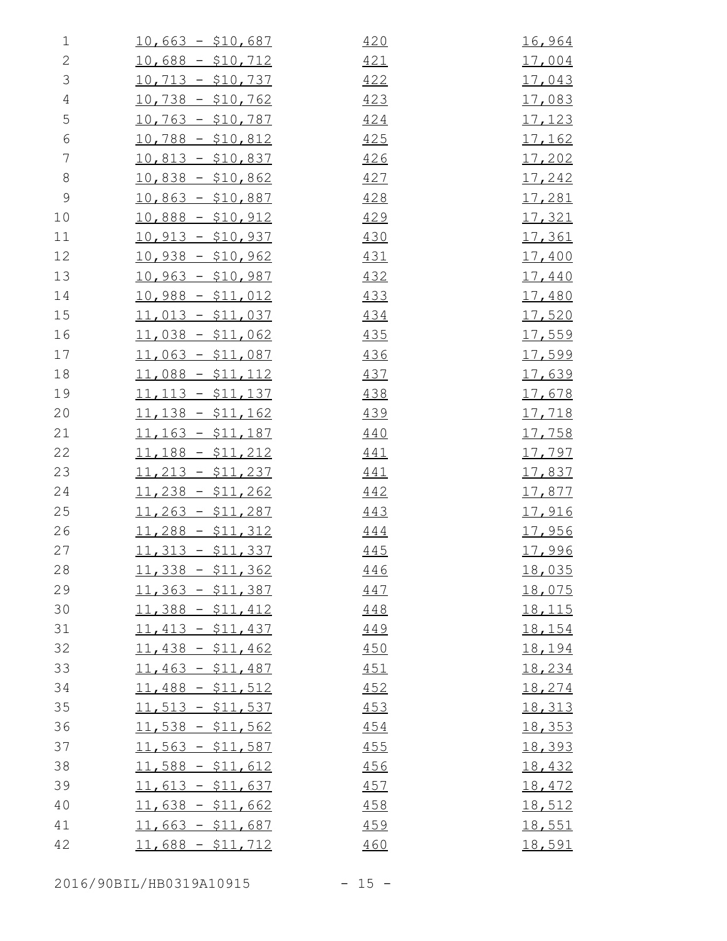| 1              | $10,663 - $10,687$ | 420 | 16,964        |
|----------------|--------------------|-----|---------------|
| $\mathbf{2}$   | $10,688 - $10,712$ | 421 | <u>17,004</u> |
| $\mathfrak{Z}$ | $10,713 - $10,737$ | 422 | <u>17,043</u> |
| $\overline{4}$ | $10,738 - $10,762$ | 423 | 17,083        |
| 5              | $10,763 - $10,787$ | 424 | 17,123        |
| $\sqrt{6}$     | $10,788 - $10,812$ | 425 | <u>17,162</u> |
| $\overline{7}$ | $10,813 - $10,837$ | 426 | 17,202        |
| $8\,$          | $10,838 - $10,862$ | 427 | 17,242        |
| $\mathcal{G}$  | $10,863 - $10,887$ | 428 | 17,281        |
| 10             | $10,888 - $10,912$ | 429 | 17,321        |
| 11             | $10,913 - $10,937$ | 430 | 17,361        |
| 12             | $10,938 - $10,962$ | 431 | 17,400        |
| 13             | $10,963 - $10,987$ | 432 | <u>17,440</u> |
| 14             | $10,988 - $11,012$ | 433 | 17,480        |
| 15             | $11,013 - $11,037$ | 434 | <u>17,520</u> |
| 16             | $11,038 - $11,062$ | 435 | 17,559        |
| 17             | $11,063 - $11,087$ | 436 | 17,599        |
| 18             | $11,088 - $11,112$ | 437 | 17,639        |
| 19             | $11,113 - $11,137$ | 438 | 17,678        |
| 20             | $11,138 - $11,162$ | 439 | <u>17,718</u> |
| 21             | $11,163 - $11,187$ | 440 | 17,758        |
| 22             | $11,188 - $11,212$ | 441 | <u>17,797</u> |
| 23             | $11,213 - $11,237$ | 441 | 17,837        |
| 24             | $11,238 - $11,262$ | 442 | <u>17,877</u> |
| 25             | $11,263 - $11,287$ | 443 | <u>17,916</u> |
| 26             | $11,288 - $11,312$ | 444 | <u>17,956</u> |
| 27             | $11,313 - $11,337$ | 445 | 17,996        |
| 28             | $11,338 - $11,362$ | 446 | <u>18,035</u> |
| 29             | $11,363 - $11,387$ | 447 | 18,075        |
| 30             | $11,388 - $11,412$ | 448 | <u>18,115</u> |
| 31             | $11,413 - $11,437$ | 449 | 18,154        |
| 32             | $11,438 - $11,462$ | 450 | 18,194        |
| 33             | $11,463 - $11,487$ | 451 | 18,234        |
| 34             | $11,488 - $11,512$ | 452 | 18,274        |
| 35             | $11,513 - $11,537$ | 453 | 18,313        |
| 36             | $11,538 - $11,562$ | 454 | 18,353        |
| 37             | $11,563 - $11,587$ | 455 | 18,393        |
| 38             | $11,588 - $11,612$ | 456 | 18,432        |
| 39             | $11,613 - $11,637$ | 457 | 18,472        |
| 40             | $11,638 - $11,662$ | 458 | 18,512        |
| 41             | $11,663 - $11,687$ | 459 | <u>18,551</u> |
| 42             | $11,688 - $11,712$ | 460 | 18,591        |

2016/90BIL/HB0319A10915 - 15 -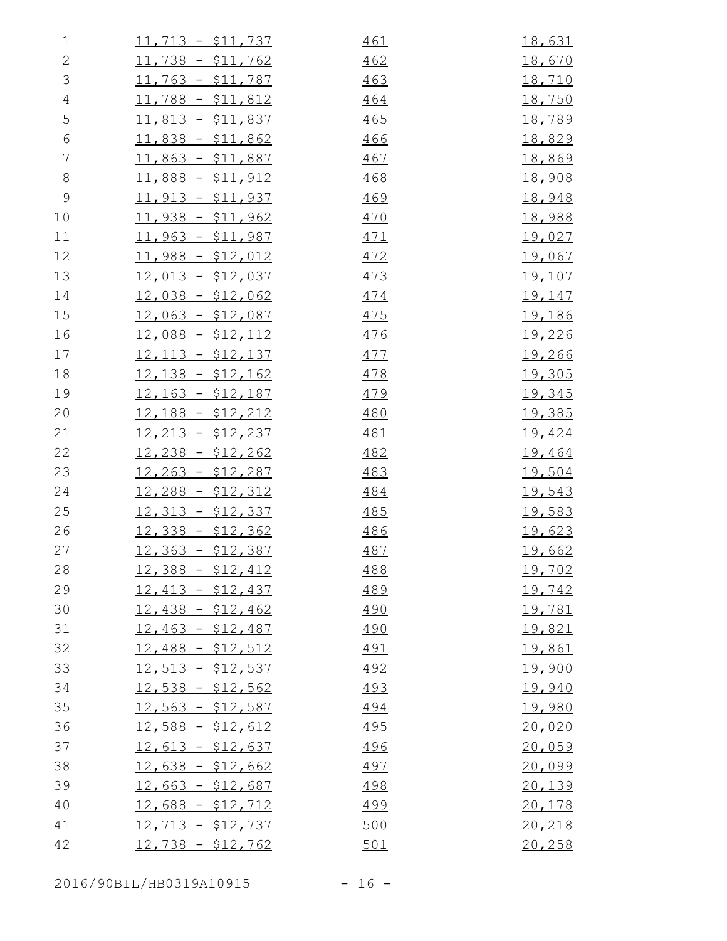| $\mathbf 1$    | $11,713 - $11,737$ | 461        | <u>18,631</u> |
|----------------|--------------------|------------|---------------|
| $\mathbf{2}$   | $11,738 - $11,762$ | 462        | 18,670        |
| $\mathfrak{Z}$ | $11,763 - $11,787$ | 463        | <u>18,710</u> |
| $\sqrt{4}$     | $11,788 - $11,812$ | 464        | <u>18,750</u> |
| 5              | $11,813 - $11,837$ | 465        | 18,789        |
| $\sqrt{6}$     | $11,838 - $11,862$ | 466        | <u>18,829</u> |
| 7              | $11,863 - $11,887$ | 467        | <u>18,869</u> |
| $8\,$          | $11,888 - $11,912$ | 468        | 18,908        |
| $\mathcal{G}$  | $11,913 - $11,937$ | 469        | 18,948        |
| 10             | $11,938 - $11,962$ | 470        | 18,988        |
| 11             | $11,963 - $11,987$ | 471        | <u>19,027</u> |
| 12             | $11,988 - $12,012$ | 472        | <u>19,067</u> |
| 13             | $12,013 - $12,037$ | 473        | <u>19,107</u> |
| 14             | $12,038 - $12,062$ | 474        | <u>19,147</u> |
| 15             | $12,063 - $12,087$ | 475        | <u>19,186</u> |
| 16             | $12,088 - $12,112$ | <u>476</u> | 19,226        |
| 17             | $12,113 - $12,137$ | 477        | <u>19,266</u> |
| 18             | $12,138 - $12,162$ | 478        | 19,305        |
| 19             | $12,163 - $12,187$ | 479        | <u>19,345</u> |
| 20             | $12,188 - $12,212$ | 480        | <u>19,385</u> |
| 21             | $12,213 - $12,237$ | 481        | 19,424        |
| 22             | $12,238 - $12,262$ | 482        | 19,464        |
| 23             | $12,263 - $12,287$ | 483        | <u>19,504</u> |
| 24             | $12,288 - $12,312$ | 484        | 19,543        |
| 25             | $12,313 - $12,337$ | 485        | <u>19,583</u> |
| 26             | $12,338 - $12,362$ | 486        | 19,623        |
| 27             | $12,363 - $12,387$ | 487        | <u>19,662</u> |
| 28             | $12,388 - $12,412$ | 488        | <u>19,702</u> |
| 29             | $12,413 - $12,437$ | 489        | 19,742        |
| 30             | $12,438 - $12,462$ | 490        | <u>19,781</u> |
| 31             | $12,463 - $12,487$ | 490        | 19,821        |
| 32             | $12,488 - $12,512$ | <u>491</u> | 19,861        |
| 33             | $12,513 - $12,537$ | 492        | 19,900        |
| 34             | $12,538 - $12,562$ | 493        | 19,940        |
| 35             | $12,563 - $12,587$ | 494        | <u>19,980</u> |
| 36             | $12,588 - $12,612$ | <u>495</u> | 20,020        |
| 37             | $12,613 - $12,637$ | 496        | 20,059        |
| 38             | $12,638 - $12,662$ | 497        | 20,099        |
| 39             | $12,663 - $12,687$ | 498        | 20,139        |
| 40             | $12,688 - $12,712$ | <u>499</u> | 20,178        |
| 41             | $12,713 - $12,737$ | 500        | 20,218        |
| 42             | $12,738 - $12,762$ | 501        | 20,258        |

2016/90BIL/HB0319A10915 - 16 -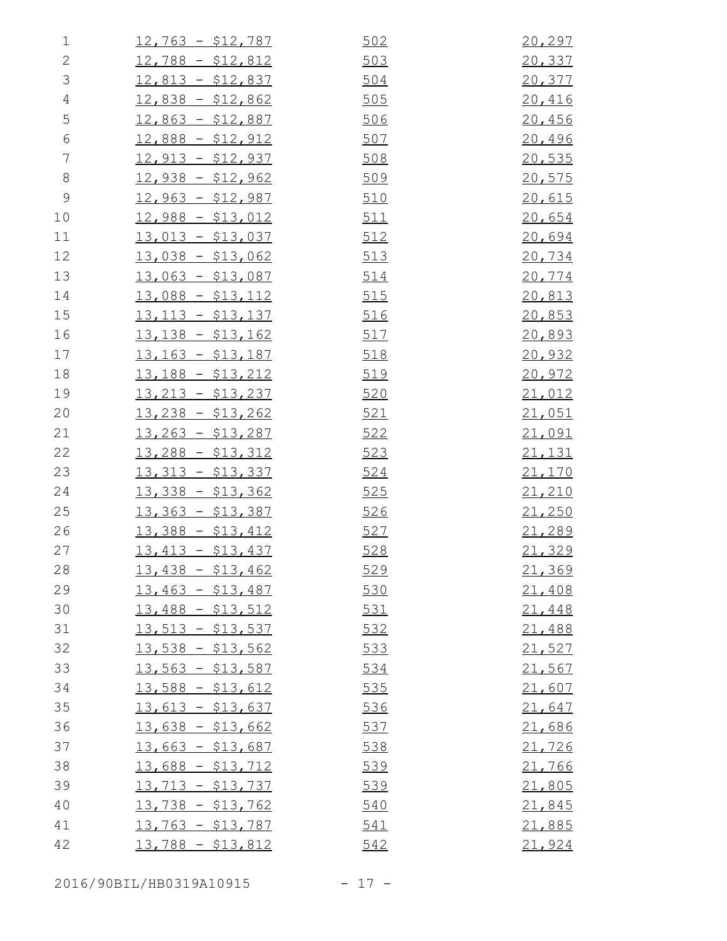| 1              | $12,763 - $12,787$ | 502        | 20,297 |
|----------------|--------------------|------------|--------|
| $\mathbf{2}$   | $12,788 - $12,812$ | 503        | 20,337 |
| 3              | $12,813 - $12,837$ | 504        | 20,377 |
| $\overline{4}$ | $12,838 - $12,862$ | 505        | 20,416 |
| 5              | $12,863 - $12,887$ | 506        | 20,456 |
| $\sqrt{6}$     | $12,888 - $12,912$ | 507        | 20,496 |
| $\overline{7}$ | $12,913 - $12,937$ | 508        | 20,535 |
| $8\,$          | $12,938 - $12,962$ | 509        | 20,575 |
| $\mathcal{G}$  | $12,963 - $12,987$ | 510        | 20,615 |
| 10             | $12,988 - $13,012$ | <u>511</u> | 20,654 |
| 11             | $13,013 - $13,037$ | 512        | 20,694 |
| 12             | $13,038 - $13,062$ | 513        | 20,734 |
| 13             | $13,063 - $13,087$ | 514        | 20,774 |
| 14             | $13,088 - $13,112$ | 515        | 20,813 |
| 15             | $13,113 - $13,137$ | 516        | 20,853 |
| 16             | $13,138 - $13,162$ | 517        | 20,893 |
| 17             | $13,163 - $13,187$ | 518        | 20,932 |
| 18             | $13,188 - $13,212$ | 519        | 20,972 |
| 19             | $13,213 - $13,237$ | 520        | 21,012 |
| 20             | $13,238 - $13,262$ | 521        | 21,051 |
| 21             | $13,263 - $13,287$ | 522        | 21,091 |
| 22             | $13,288 - $13,312$ | 523        | 21,131 |
| 23             | $13,313 - $13,337$ | 524        | 21,170 |
| 24             | $13,338 - $13,362$ | 525        | 21,210 |
| 25             | $13,363 - $13,387$ | <u>526</u> | 21,250 |
| 26             | $13,388 - $13,412$ | 527        | 21,289 |
| 27             | $13,413 - $13,437$ | 528        | 21,329 |
| 28             | $13,438 - $13,462$ | 529        | 21,369 |
| 29             | $13,463 - $13,487$ | 530        | 21,408 |
| 30             | $13,488 - $13,512$ | 531        | 21,448 |
| 31             | $13,513 - $13,537$ | 532        | 21,488 |
| 32             | $13,538 - $13,562$ | 533        | 21,527 |
| 33             | $13,563 - $13,587$ | 534        | 21,567 |
| 34             | $13,588 - $13,612$ | 535        | 21,607 |
| 35             | $13,613 - $13,637$ | 536        | 21,647 |
| 36             | $13,638 - $13,662$ | 537        | 21,686 |
| 37             | $13,663 - $13,687$ | 538        | 21,726 |
| 38             | $13,688 - $13,712$ | 539        | 21,766 |
| 39             | $13,713 - $13,737$ | 539        | 21,805 |
| 40             | $13,738 - $13,762$ | 540        | 21,845 |
| 41             | $13,763 - $13,787$ | 541        | 21,885 |
| 42             | $13,788 - $13,812$ | 542        | 21,924 |
|                |                    |            |        |

2016/90BIL/HB0319A10915 - 17 -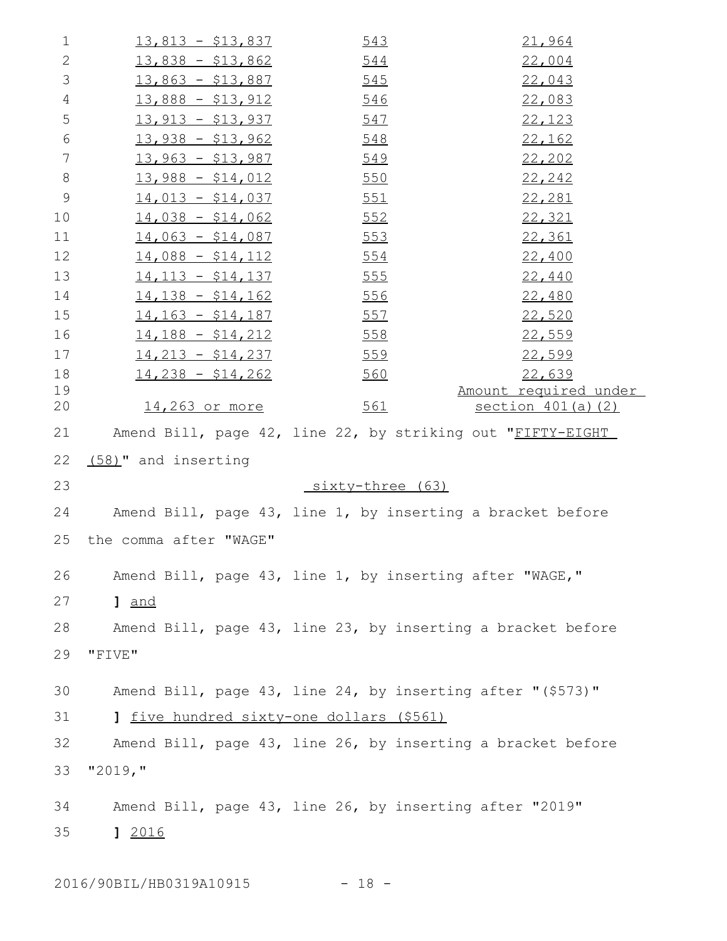| $\mathbf 1$    | $13,813 - $13,837$                                          | 543              | 21,964                                                      |
|----------------|-------------------------------------------------------------|------------------|-------------------------------------------------------------|
| 2              | $13,838 - $13,862$                                          | 544              | 22,004                                                      |
| 3              | $13,863 - $13,887$                                          | 545              | 22,043                                                      |
| $\overline{4}$ | $13,888 - $13,912$                                          | 546              | 22,083                                                      |
| 5              | $13,913 - $13,937$                                          | 547              | 22,123                                                      |
| 6              | <u> 13,938 - \$13,962</u>                                   | 548              | 22,162                                                      |
| $\overline{7}$ | $13,963 - $13,987$                                          | 549              | 22,202                                                      |
| $8\,$          | $13,988 - $14,012$                                          | 550              | 22,242                                                      |
| $\mathsf 9$    | $14,013 - $14,037$                                          | <u>551</u>       | 22,281                                                      |
| 10             | $14,038 - $14,062$                                          | 552              | 22,321                                                      |
| 11             | $14,063 - $14,087$                                          | 553              | 22,361                                                      |
| 12             | $14,088 - $14,112$                                          | <u>554</u>       | 22,400                                                      |
| 13             | $14,113 - $14,137$                                          | 555              | 22,440                                                      |
| 14             | $14,138 - $14,162$                                          | <u>556</u>       | 22,480                                                      |
| 15             | $14, 163 - $14, 187$                                        | <u>557</u>       | 22,520                                                      |
| 16             | $14,188 - $14,212$                                          | 558              | 22,559                                                      |
| 17             | $14,213 - $14,237$                                          | 559              | 22,599                                                      |
| 18             | $14,238 - $14,262$                                          | 560              | 22,639                                                      |
| 19<br>20       | 14,263 or more                                              | 561              | Amount required under<br><u>section 401(a)(2)</u>           |
| 21             | Amend Bill, page 42, line 22, by striking out "FIFTY-EIGHT  |                  |                                                             |
| 22             | (58)" and inserting                                         |                  |                                                             |
| 23             |                                                             | sixty-three (63) |                                                             |
| 24             | Amend Bill, page 43, line 1, by inserting a bracket before  |                  |                                                             |
| 25             | the comma after "WAGE"                                      |                  |                                                             |
| 26             | Amend Bill, page 43, line 1, by inserting after "WAGE,"     |                  |                                                             |
| 27             | 1 and                                                       |                  |                                                             |
| 28             |                                                             |                  | Amend Bill, page 43, line 23, by inserting a bracket before |
| 29             | "FIVE"                                                      |                  |                                                             |
|                |                                                             |                  |                                                             |
| 30             | Amend Bill, page 43, line 24, by inserting after "(\$573)"  |                  |                                                             |
| 31             | 1 five hundred sixty-one dollars (\$561)                    |                  |                                                             |
| 32             | Amend Bill, page 43, line 26, by inserting a bracket before |                  |                                                             |
| 33             | "2019, "                                                    |                  |                                                             |
| 34             | Amend Bill, page 43, line 26, by inserting after "2019"     |                  |                                                             |
|                |                                                             |                  |                                                             |
| 35             | 12016                                                       |                  |                                                             |
|                |                                                             |                  |                                                             |

2016/90BIL/HB0319A10915 - 18 -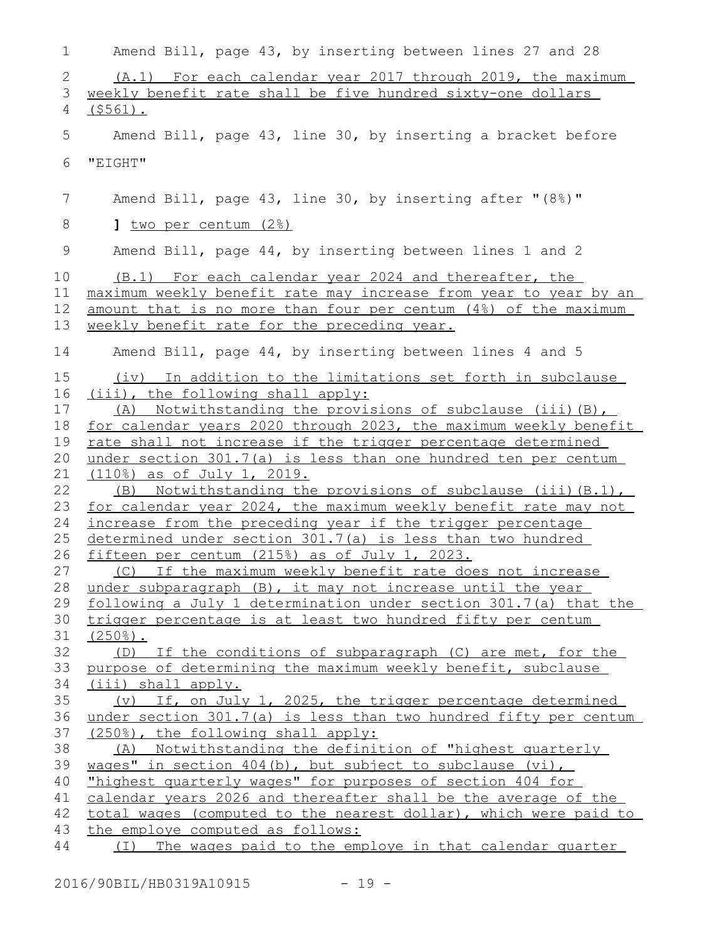| $\mathbf 1$ | Amend Bill, page 43, by inserting between lines 27 and 28                                                                 |
|-------------|---------------------------------------------------------------------------------------------------------------------------|
| 2           | (A.1) For each calendar year 2017 through 2019, the maximum                                                               |
| 3           | weekly benefit rate shall be five hundred sixty-one dollars                                                               |
| 4           | $($ \$561).                                                                                                               |
|             |                                                                                                                           |
| 5           | Amend Bill, page 43, line 30, by inserting a bracket before                                                               |
| 6           | "EIGHT"                                                                                                                   |
|             |                                                                                                                           |
| 7           | Amend Bill, page 43, line 30, by inserting after "(8%)"                                                                   |
|             |                                                                                                                           |
| 8           | <u>] two per centum (2%)</u>                                                                                              |
| 9           | Amend Bill, page 44, by inserting between lines 1 and 2                                                                   |
| 10          |                                                                                                                           |
|             | (B.1) For each calendar year 2024 and thereafter, the<br>maximum weekly benefit rate may increase from year to year by an |
| 11          | amount that is no more than four per centum (4%) of the maximum                                                           |
| 12          |                                                                                                                           |
| 13          | weekly benefit rate for the preceding year.                                                                               |
| 14          | Amend Bill, page 44, by inserting between lines 4 and 5                                                                   |
| 15          | (iv) In addition to the limitations set forth in subclause                                                                |
| 16          | (iii), the following shall apply:                                                                                         |
| 17          | (A) Notwithstanding the provisions of subclause (iii) (B),                                                                |
| 18          | for calendar years 2020 through 2023, the maximum weekly benefit                                                          |
| 19          | rate shall not increase if the trigger percentage determined                                                              |
| 20          | under section 301.7(a) is less than one hundred ten per centum                                                            |
| 21          | (110%) as of July 1, 2019.                                                                                                |
| 22          | (B) Notwithstanding the provisions of subclause (iii) (B.1),                                                              |
| 23          | for calendar year 2024, the maximum weekly benefit rate may not                                                           |
| 24          | increase from the preceding year if the trigger percentage                                                                |
| 25          | determined under section 301.7(a) is less than two hundred                                                                |
| 26          | fifteen per centum (215%) as of July 1, 2023.                                                                             |
| 27          | (C) If the maximum weekly benefit rate does not increase                                                                  |
| 28          | under subparagraph (B), it may not increase until the year                                                                |
| 29          | following a July 1 determination under section 301.7(a) that the                                                          |
| 30          | trigger percentage is at least two hundred fifty per centum                                                               |
| 31          | $(250$ <sup>8</sup> ).                                                                                                    |
| 32          | (D) If the conditions of subparagraph (C) are met, for the                                                                |
| 33          | purpose of determining the maximum weekly benefit, subclause                                                              |
| 34          | (iii) shall apply.                                                                                                        |
| 35          | (v) If, on July 1, 2025, the trigger percentage determined                                                                |
| 36          | under section 301.7(a) is less than two hundred fifty per centum                                                          |
| 37          | (250%), the following shall apply:                                                                                        |
| 38          | (A) Notwithstanding the definition of "highest quarterly                                                                  |
| 39          | wages" in section 404(b), but subject to subclause (vi),                                                                  |
| 40          | "highest quarterly wages" for purposes of section 404 for                                                                 |
| 41          | calendar years 2026 and thereafter shall be the average of the                                                            |
| 42          | total wages (computed to the nearest dollar), which were paid to                                                          |
| 43<br>44    | the employe computed as follows:                                                                                          |
|             | The wages paid to the employe in that calendar quarter<br>( I )                                                           |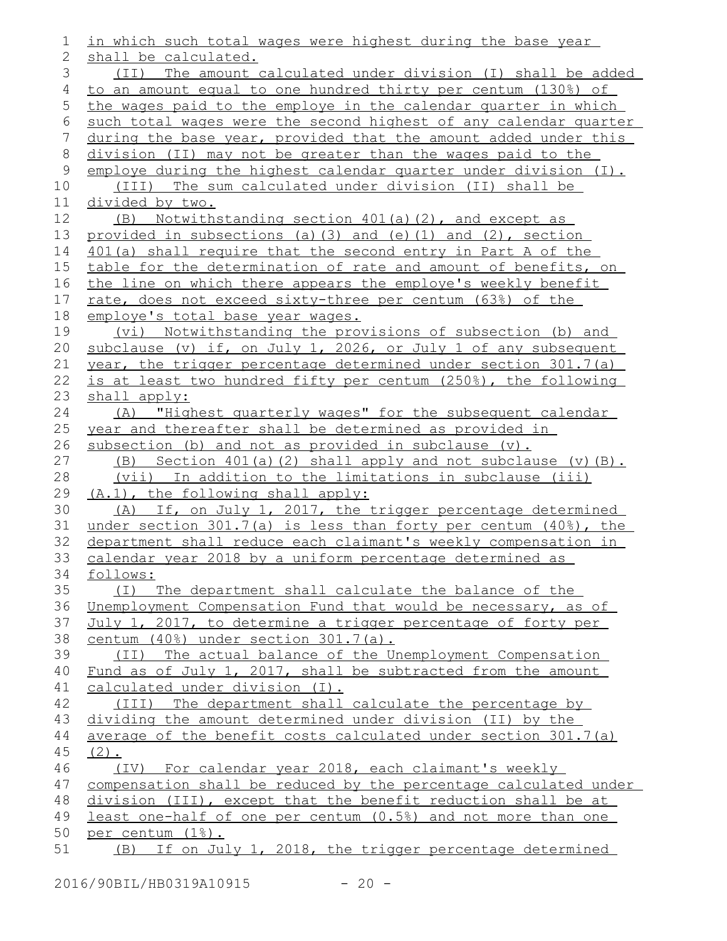| 1              | in which such total wages were highest during the base year         |
|----------------|---------------------------------------------------------------------|
| $\mathbf{2}$   | shall be calculated.                                                |
| 3              | (II) The amount calculated under division (I) shall be added        |
| $\overline{4}$ | to an amount equal to one hundred thirty per centum (130%) of       |
| 5              | the wages paid to the employe in the calendar quarter in which      |
| 6              | such total wages were the second highest of any calendar quarter    |
| 7              | during the base year, provided that the amount added under this     |
| $\,8\,$        | division (II) may not be greater than the wages paid to the         |
| $\mathsf 9$    | employe during the highest calendar quarter under division (I).     |
| 10             | (III) The sum calculated under division (II) shall be               |
| 11             | <u>divided by two.</u>                                              |
| 12             | (B) Notwithstanding section 401(a)(2), and except as                |
| 13             | provided in subsections (a) $(3)$ and (e) $(1)$ and $(2)$ , section |
| 14             | 401(a) shall require that the second entry in Part A of the         |
| 15             | table for the determination of rate and amount of benefits, on      |
| 16             | the line on which there appears the employe's weekly benefit        |
| 17             | rate, does not exceed sixty-three per centum (63%) of the           |
| 18             | employe's total base year wages.                                    |
| 19             | (vi) Notwithstanding the provisions of subsection (b) and           |
| 20             | subclause (v) if, on July 1, 2026, or July 1 of any subsequent      |
| 21             | year, the trigger percentage determined under section 301.7(a)      |
| 22             | is at least two hundred fifty per centum (250%), the following      |
| 23             | shall apply:                                                        |
| 24             | (A) "Highest quarterly wages" for the subsequent calendar           |
| 25             | year and thereafter shall be determined as provided in              |
| 26             | subsection (b) and not as provided in subclause $(v)$ .             |
| 27             | (B) Section $401(a)$ (2) shall apply and not subclause (v) $(B)$ .  |
| 28             | In addition to the limitations in subclause (iii)<br>(vii)          |
| 29             | (A.1), the following shall apply:                                   |
| 30             | (A) If, on July 1, 2017, the trigger percentage determined          |
| 31             | under section 301.7(a) is less than forty per centum (40%), the     |
| 32             | department shall reduce each claimant's weekly compensation in      |
| 33             | calendar year 2018 by a uniform percentage determined as            |
| 34             | follows:                                                            |
| 35             | (I) The department shall calculate the balance of the               |
| 36             | Unemployment Compensation Fund that would be necessary, as of       |
| 37             | July 1, 2017, to determine a trigger percentage of forty per        |
| 38             | centum (40%) under section 301.7(a).                                |
| 39             | (II) The actual balance of the Unemployment Compensation            |
| 40             | Fund as of July 1, 2017, shall be subtracted from the amount        |
| 41             | calculated under division (I).                                      |
| 42             | (III) The department shall calculate the percentage by              |
| 43             | dividing the amount determined under division (II) by the           |
| 44             | average of the benefit costs calculated under section 301.7(a)      |
| 45             | $(2)$ .                                                             |
| 46             | (IV) For calendar year 2018, each claimant's weekly                 |
| 47             | compensation shall be reduced by the percentage calculated under    |
| 48             | division (III), except that the benefit reduction shall be at       |
| 49             | least one-half of one per centum (0.5%) and not more than one       |
| 50             | per centum (1%).                                                    |
| 51             | (B) If on July 1, 2018, the trigger percentage determined           |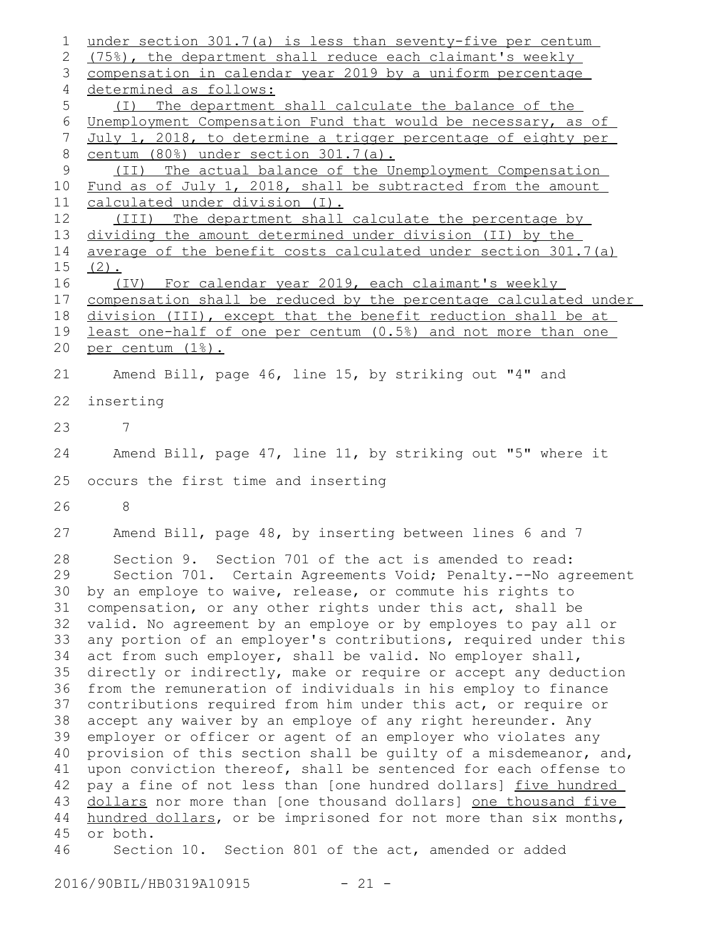under section 301.7(a) is less than seventy-five per centum (75%), the department shall reduce each claimant's weekly compensation in calendar year 2019 by a uniform percentage determined as follows: (I) The department shall calculate the balance of the Unemployment Compensation Fund that would be necessary, as of July 1, 2018, to determine a trigger percentage of eighty per centum (80%) under section 301.7(a). (II) The actual balance of the Unemployment Compensation Fund as of July 1, 2018, shall be subtracted from the amount calculated under division (I). (III) The department shall calculate the percentage by dividing the amount determined under division (II) by the average of the benefit costs calculated under section 301.7(a)  $(2)$ . (IV) For calendar year 2019, each claimant's weekly compensation shall be reduced by the percentage calculated under division (III), except that the benefit reduction shall be at least one-half of one per centum (0.5%) and not more than one per centum (1%). Amend Bill, page 46, line 15, by striking out "4" and inserting 7 Amend Bill, page 47, line 11, by striking out "5" where it occurs the first time and inserting 8 Amend Bill, page 48, by inserting between lines 6 and 7 Section 9. Section 701 of the act is amended to read: Section 701. Certain Agreements Void; Penalty.--No agreement by an employe to waive, release, or commute his rights to compensation, or any other rights under this act, shall be valid. No agreement by an employe or by employes to pay all or any portion of an employer's contributions, required under this act from such employer, shall be valid. No employer shall, directly or indirectly, make or require or accept any deduction from the remuneration of individuals in his employ to finance contributions required from him under this act, or require or accept any waiver by an employe of any right hereunder. Any employer or officer or agent of an employer who violates any provision of this section shall be guilty of a misdemeanor, and, upon conviction thereof, shall be sentenced for each offense to pay a fine of not less than [one hundred dollars] five hundred dollars nor more than [one thousand dollars] one thousand five hundred dollars, or be imprisoned for not more than six months, or both. Section 10. Section 801 of the act, amended or added 1 2 3 4 5 6 7 8 9 10 11 12 13 14 15 16 17 18 19 20 21 22 23 24 25 26 27 28 29 30 31 32 33 34 35 36 37 38 39 40 41 42 43 44 45 46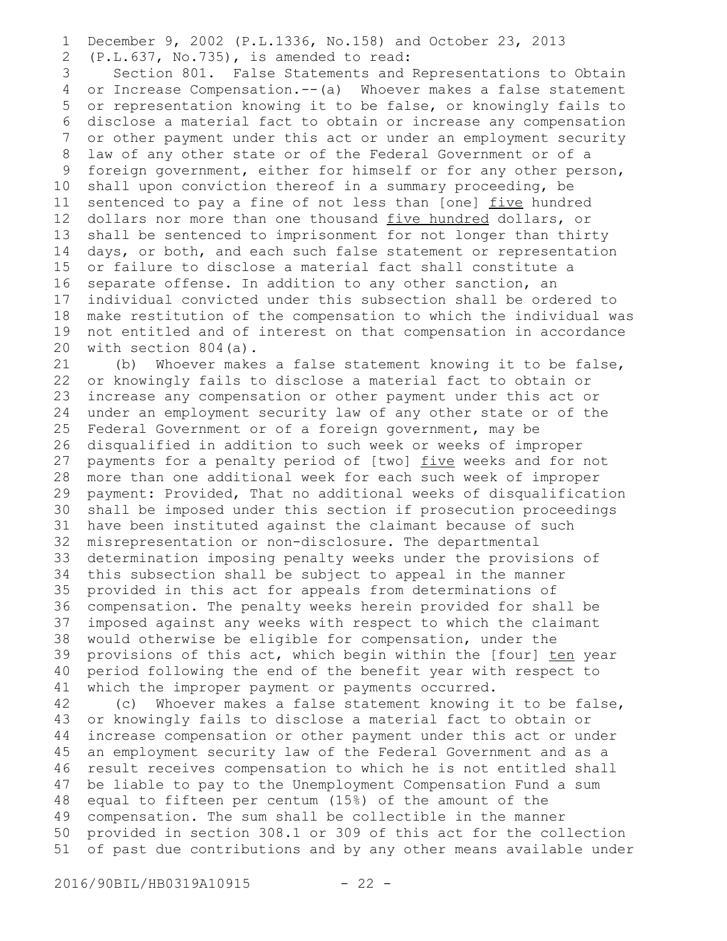December 9, 2002 (P.L.1336, No.158) and October 23, 2013 (P.L.637, No.735), is amended to read: 1 2

Section 801. False Statements and Representations to Obtain or Increase Compensation.--(a) Whoever makes a false statement or representation knowing it to be false, or knowingly fails to disclose a material fact to obtain or increase any compensation or other payment under this act or under an employment security law of any other state or of the Federal Government or of a foreign government, either for himself or for any other person, shall upon conviction thereof in a summary proceeding, be sentenced to pay a fine of not less than [one] five hundred dollars nor more than one thousand five hundred dollars, or shall be sentenced to imprisonment for not longer than thirty days, or both, and each such false statement or representation or failure to disclose a material fact shall constitute a separate offense. In addition to any other sanction, an individual convicted under this subsection shall be ordered to make restitution of the compensation to which the individual was not entitled and of interest on that compensation in accordance with section 804(a). 3 4 5 6 7 8 9 10 11 12 13 14 15 16 17 18 19 20

(b) Whoever makes a false statement knowing it to be false, or knowingly fails to disclose a material fact to obtain or increase any compensation or other payment under this act or under an employment security law of any other state or of the Federal Government or of a foreign government, may be disqualified in addition to such week or weeks of improper payments for a penalty period of [two] five weeks and for not more than one additional week for each such week of improper payment: Provided, That no additional weeks of disqualification shall be imposed under this section if prosecution proceedings have been instituted against the claimant because of such misrepresentation or non-disclosure. The departmental determination imposing penalty weeks under the provisions of this subsection shall be subject to appeal in the manner provided in this act for appeals from determinations of compensation. The penalty weeks herein provided for shall be 36 imposed against any weeks with respect to which the claimant would otherwise be eligible for compensation, under the provisions of this act, which begin within the [four] ten year period following the end of the benefit year with respect to which the improper payment or payments occurred. 21 22 23 24 25 26 27 28 29 30 31 32 33 34 35 37 38 39 40 41

(c) Whoever makes a false statement knowing it to be false, or knowingly fails to disclose a material fact to obtain or increase compensation or other payment under this act or under an employment security law of the Federal Government and as a result receives compensation to which he is not entitled shall be liable to pay to the Unemployment Compensation Fund a sum equal to fifteen per centum (15%) of the amount of the compensation. The sum shall be collectible in the manner provided in section 308.1 or 309 of this act for the collection of past due contributions and by any other means available under 42 43 44 45 46 47 48 49 50 51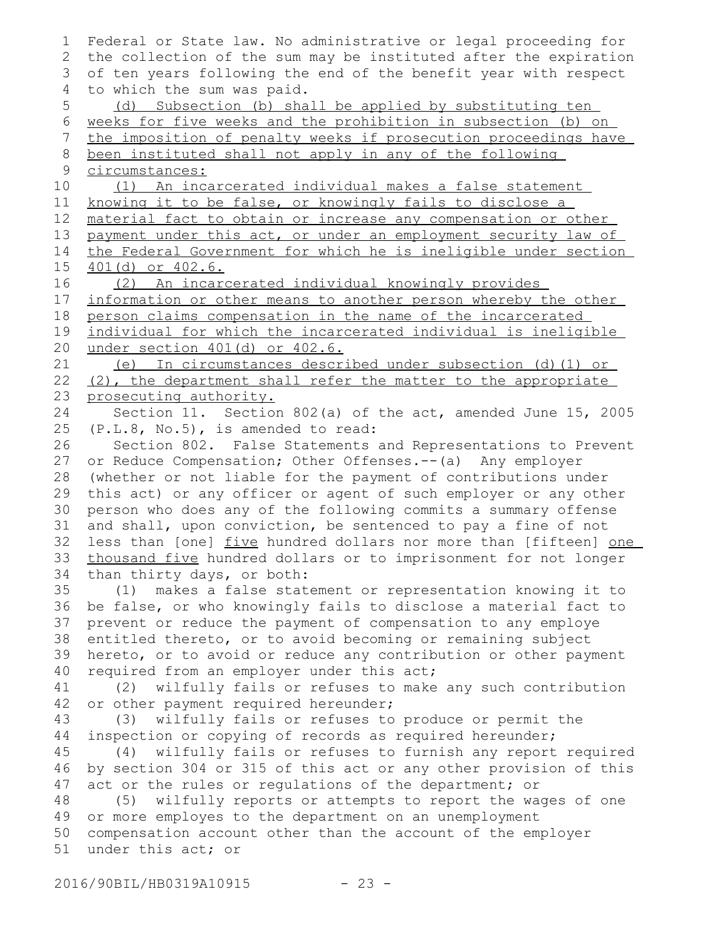Federal or State law. No administrative or legal proceeding for the collection of the sum may be instituted after the expiration of ten years following the end of the benefit year with respect to which the sum was paid. (d) Subsection (b) shall be applied by substituting ten weeks for five weeks and the prohibition in subsection (b) on the imposition of penalty weeks if prosecution proceedings have been instituted shall not apply in any of the following circumstances: (1) An incarcerated individual makes a false statement knowing it to be false, or knowingly fails to disclose a material fact to obtain or increase any compensation or other payment under this act, or under an employment security law of the Federal Government for which he is ineligible under section 401(d) or 402.6. (2) An incarcerated individual knowingly provides information or other means to another person whereby the other person claims compensation in the name of the incarcerated individual for which the incarcerated individual is ineligible under section 401(d) or 402.6. (e) In circumstances described under subsection (d)(1) or (2), the department shall refer the matter to the appropriate prosecuting authority. Section 11. Section 802(a) of the act, amended June 15, 2005 (P.L.8, No.5), is amended to read: Section 802. False Statements and Representations to Prevent or Reduce Compensation; Other Offenses.--(a) Any employer (whether or not liable for the payment of contributions under this act) or any officer or agent of such employer or any other person who does any of the following commits a summary offense and shall, upon conviction, be sentenced to pay a fine of not less than [one] five hundred dollars nor more than [fifteen] one thousand five hundred dollars or to imprisonment for not longer than thirty days, or both: (1) makes a false statement or representation knowing it to be false, or who knowingly fails to disclose a material fact to prevent or reduce the payment of compensation to any employe entitled thereto, or to avoid becoming or remaining subject hereto, or to avoid or reduce any contribution or other payment required from an employer under this act; (2) wilfully fails or refuses to make any such contribution or other payment required hereunder; (3) wilfully fails or refuses to produce or permit the inspection or copying of records as required hereunder; (4) wilfully fails or refuses to furnish any report required by section 304 or 315 of this act or any other provision of this act or the rules or regulations of the department; or (5) wilfully reports or attempts to report the wages of one or more employes to the department on an unemployment compensation account other than the account of the employer under this act; or 1 2 3 4 5 6 7 8 9 10 11 12 13 14 15 16 17 18 19 20 21 22 23 24 25 26 27 28 29 30 31 32 33 34 35 36 37 38 39 40 41 42 43 44 45 46 47 48 49 50 51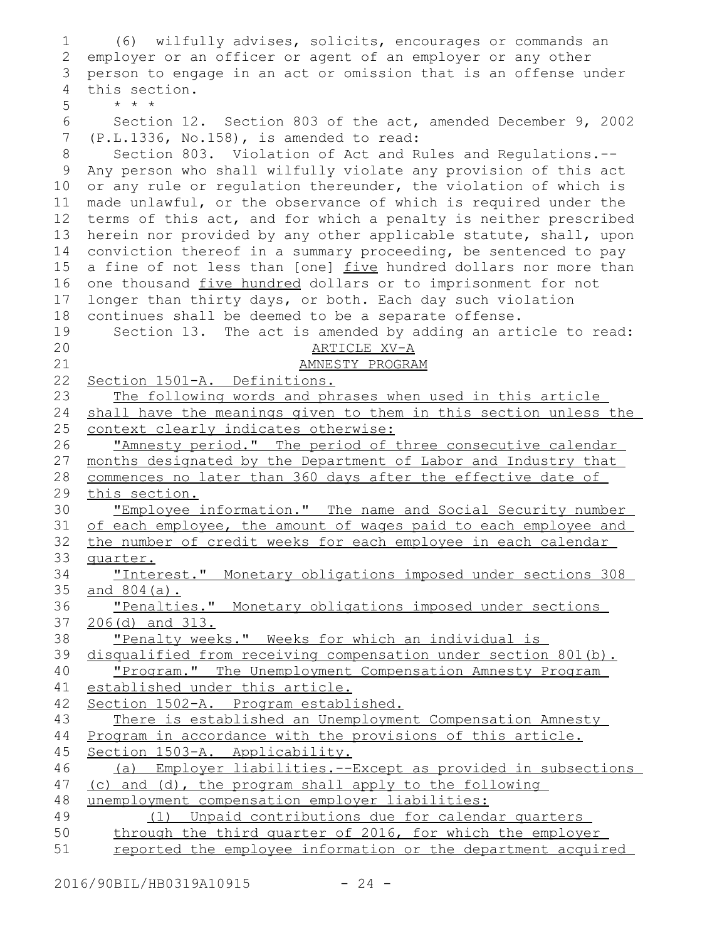| 1            | (6) wilfully advises, solicits, encourages or commands an                                             |
|--------------|-------------------------------------------------------------------------------------------------------|
| $\mathbf{2}$ | employer or an officer or agent of an employer or any other                                           |
| 3            | person to engage in an act or omission that is an offense under                                       |
| 4            | this section.                                                                                         |
| 5            | $* * *$                                                                                               |
| 6            | Section 12. Section 803 of the act, amended December 9, 2002                                          |
| 7            | $(P.L.1336, No.158)$ , is amended to read:                                                            |
| 8            | Section 803. Violation of Act and Rules and Regulations.--                                            |
| $\mathsf 9$  | Any person who shall wilfully violate any provision of this act                                       |
| 10           | or any rule or regulation thereunder, the violation of which is                                       |
| 11           | made unlawful, or the observance of which is required under the                                       |
| 12           | terms of this act, and for which a penalty is neither prescribed                                      |
| 13           | herein nor provided by any other applicable statute, shall, upon                                      |
| 14           | conviction thereof in a summary proceeding, be sentenced to pay                                       |
| 15           | a fine of not less than [one] five hundred dollars nor more than                                      |
| 16           | one thousand five hundred dollars or to imprisonment for not                                          |
| 17           | longer than thirty days, or both. Each day such violation                                             |
| 18           | continues shall be deemed to be a separate offense.                                                   |
| 19           | Section 13. The act is amended by adding an article to read:                                          |
| 20           | ARTICLE XV-A                                                                                          |
| 21           | AMNESTY PROGRAM                                                                                       |
| 22           | Section 1501-A. Definitions.                                                                          |
| 23           | The following words and phrases when used in this article                                             |
| 24           | shall have the meanings given to them in this section unless the                                      |
| 25           | context clearly indicates otherwise:                                                                  |
| 26           | "Amnesty period." The period of three consecutive calendar                                            |
| 27<br>28     | months designated by the Department of Labor and Industry that                                        |
| 29           | commences no later than 360 days after the effective date of<br>this section.                         |
| 30           | "Employee information." The name and Social Security number                                           |
| 31           | of each employee, the amount of wages paid to each employee and                                       |
| 32           | the number of credit weeks for each employee in each calendar                                         |
| 33           | quarter.                                                                                              |
| 34           | "Interest." Monetary obligations imposed under sections 308                                           |
| 35           | and 804(a).                                                                                           |
| 36           | "Penalties." Monetary obligations imposed under sections                                              |
| 37           | $206(d)$ and $313.$                                                                                   |
| 38           | "Penalty weeks." Weeks for which an individual is                                                     |
| 39           | disqualified from receiving compensation under section 801(b).                                        |
| 40           | "Program." The Unemployment Compensation Amnesty Program                                              |
| 41           | established under this article.                                                                       |
| 42           | Section 1502-A. Program established.                                                                  |
| 43           | There is established an Unemployment Compensation Amnesty                                             |
| 44           | Program in accordance with the provisions of this article.                                            |
| 45           | Section 1503-A. Applicability.                                                                        |
| 46           | (a) Employer liabilities.--Except as provided in subsections                                          |
| 47           | (c) and (d), the program shall apply to the following                                                 |
| 48<br>49     | unemployment compensation employer liabilities:<br>(1) Unpaid contributions due for calendar quarters |
| 50           | through the third quarter of 2016, for which the employer                                             |
| 51           | reported the employee information or the department acquired                                          |
|              |                                                                                                       |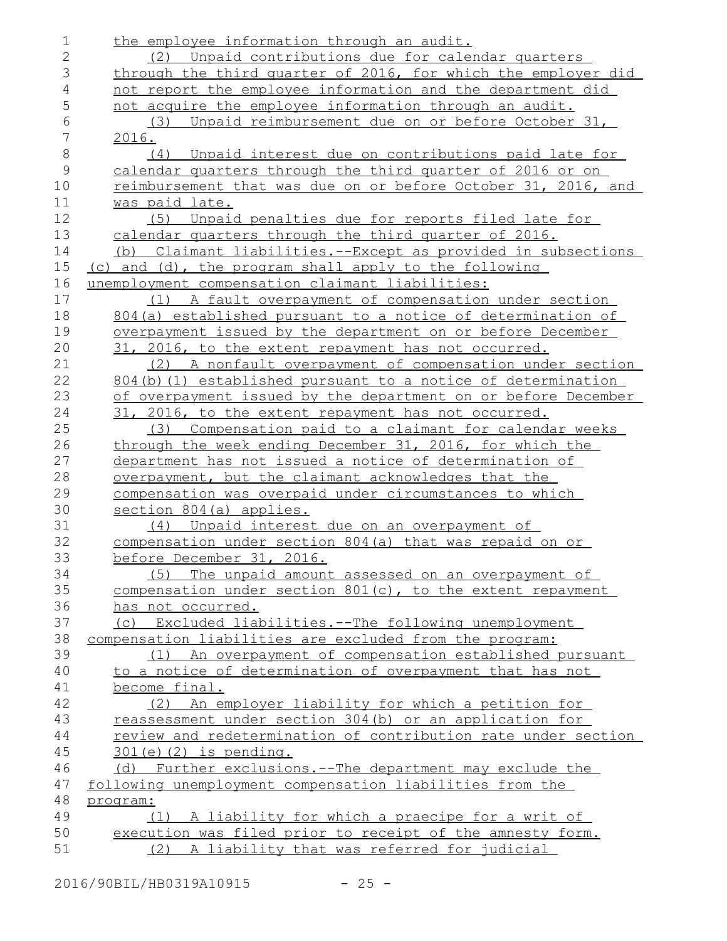| $\mathbf 1$    | the employee information through an audit.                        |
|----------------|-------------------------------------------------------------------|
| $\overline{2}$ | (2) Unpaid contributions due for calendar quarters                |
| 3              | through the third quarter of 2016, for which the employer did     |
| 4              | not report the employee information and the department did        |
| 5              | not acquire the employee information through an audit.            |
| 6              | Unpaid reimbursement due on or before October 31,<br>(3)          |
| 7              | 2016.                                                             |
| $\,8\,$        | (4) Unpaid interest due on contributions paid late for            |
| $\mathcal{G}$  | calendar quarters through the third quarter of 2016 or on         |
| 10             | reimbursement that was due on or before October 31, 2016, and     |
| 11             | was paid late.                                                    |
| 12             | (5) Unpaid penalties due for reports filed late for               |
| 13             | calendar quarters through the third quarter of 2016.              |
| 14             | (b) Claimant liabilities.--Except as provided in subsections      |
| 15             | (c) and (d), the program shall apply to the following             |
| 16             | unemployment compensation claimant liabilities:                   |
| 17             | (1) A fault overpayment of compensation under section             |
| 18             | 804(a) established pursuant to a notice of determination of       |
| 19             | <u>overpayment issued by the department on or before December</u> |
| 20             | 31, 2016, to the extent repayment has not occurred.               |
| 21             | (2) A nonfault overpayment of compensation under section          |
| 22             | 804(b)(1) established pursuant to a notice of determination       |
| 23             | of overpayment issued by the department on or before December     |
| 24             | 31, 2016, to the extent repayment has not occurred.               |
| 25             | (3) Compensation paid to a claimant for calendar weeks            |
| 26             | through the week ending December 31, 2016, for which the          |
| 27             | department has not issued a notice of determination of            |
| 28             | overpayment, but the claimant acknowledges that the               |
| 29             | compensation was overpaid under circumstances to which            |
| 30             | section 804(a) applies.                                           |
| 31             | (4) Unpaid interest due on an overpayment of                      |
| 32             | compensation under section 804 (a) that was repaid on or          |
| 33             | before December 31, 2016.                                         |
| 34             | (5) The unpaid amount assessed on an overpayment of               |
| 35             | compensation under section 801(c), to the extent repayment        |
| 36             | has not occurred.                                                 |
| 37             | (c) Excluded liabilities.--The following unemployment             |
| 38             | compensation liabilities are excluded from the program:           |
| 39             | (1) An overpayment of compensation established pursuant           |
| 40             | to a notice of determination of overpayment that has not          |
| 41             | become final.                                                     |
| 42             | (2) An employer liability for which a petition for                |
| 43             | reassessment under section 304(b) or an application for           |
| 44             | review and redetermination of contribution rate under section     |
| 45             | $301(e)$ $(2)$ is pending.                                        |
| 46             | (d) Further exclusions.--The department may exclude the           |
| 47             | following unemployment compensation liabilities from the          |
| 48             | program:                                                          |
| 49             | (1) A liability for which a praecipe for a writ of                |
| 50<br>51       | execution was filed prior to receipt of the amnesty form.         |
|                | (2) A liability that was referred for judicial                    |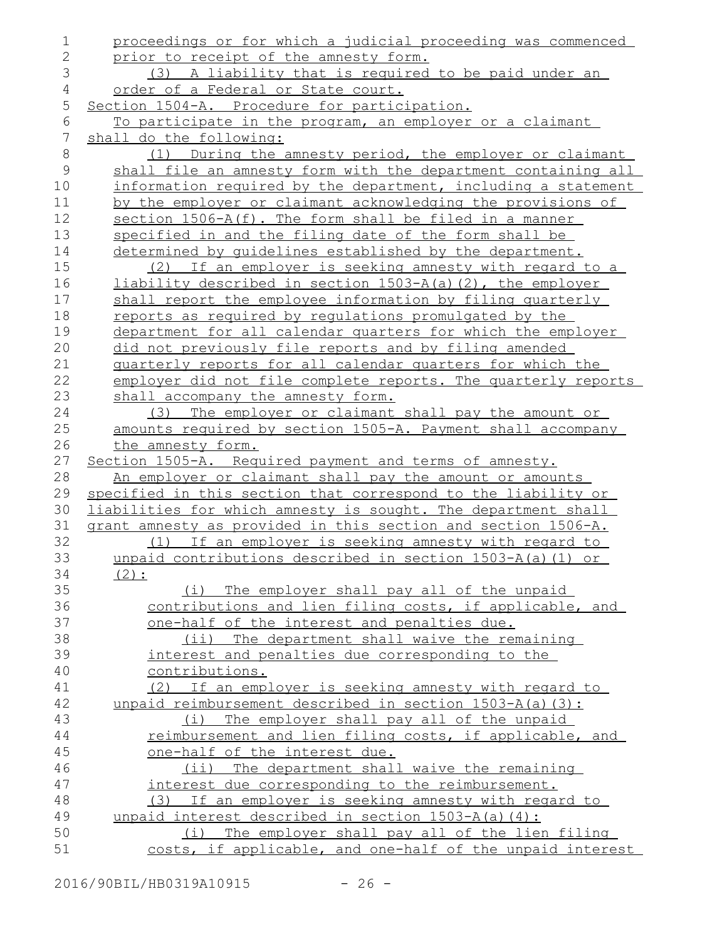| 1              | proceedings or for which a judicial proceeding was commenced                                                   |
|----------------|----------------------------------------------------------------------------------------------------------------|
| $\overline{2}$ | prior to receipt of the amnesty form.                                                                          |
| 3              | (3) A liability that is required to be paid under an                                                           |
| $\overline{4}$ | order of a Federal or State court.                                                                             |
| 5              | Section 1504-A. Procedure for participation.                                                                   |
| 6              | To participate in the program, an employer or a claimant                                                       |
| $\overline{7}$ | shall do the following:                                                                                        |
| $\,8\,$        | (1) During the amnesty period, the employer or claimant                                                        |
| $\mathcal{G}$  | shall file an amnesty form with the department containing all                                                  |
| 10             | information required by the department, including a statement                                                  |
| 11             | by the employer or claimant acknowledging the provisions of                                                    |
| 12             | section 1506-A(f). The form shall be filed in a manner                                                         |
| 13             | specified in and the filing date of the form shall be                                                          |
| 14             | determined by guidelines established by the department.                                                        |
| 15             | (2) If an employer is seeking amnesty with regard to a                                                         |
| 16             | liability described in section 1503-A(a)(2), the employer                                                      |
| 17             | shall report the employee information by filing quarterly                                                      |
| 18             | reports as required by requlations promulgated by the                                                          |
| 19             | department for all calendar quarters for which the employer                                                    |
| 20             | did not previously file reports and by filing amended                                                          |
| 21             | quarterly reports for all calendar quarters for which the                                                      |
| 22             | employer did not file complete reports. The quarterly reports                                                  |
| 23             | shall accompany the amnesty form.                                                                              |
| 24             | (3) The employer or claimant shall pay the amount or                                                           |
| 25             | amounts required by section 1505-A. Payment shall accompany                                                    |
| 26             | the amnesty form.                                                                                              |
| 27             | Section 1505-A. Required payment and terms of amnesty.                                                         |
| 28             | An employer or claimant shall pay the amount or amounts                                                        |
| 29             | specified in this section that correspond to the liability or                                                  |
| 30             | liabilities for which amnesty is sought. The department shall                                                  |
| 31             |                                                                                                                |
|                | grant amnesty as provided in this section and section 1506-A.                                                  |
| 32             | (1) If an employer is seeking amnesty with regard to                                                           |
| 33             | unpaid contributions described in section $1503-A(a)$ (1) or                                                   |
| 34             | $(2)$ :                                                                                                        |
| 35             | (i) The employer shall pay all of the unpaid                                                                   |
| 36             | contributions and lien filing costs, if applicable, and                                                        |
| 37             | one-half of the interest and penalties due.                                                                    |
| 38             | (ii) The department shall waive the remaining                                                                  |
| 39             | interest and penalties due corresponding to the                                                                |
| 40             | contributions.                                                                                                 |
| 41             | (2) If an employer is seeking amnesty with regard to                                                           |
| 42             | unpaid reimbursement described in section 1503-A(a)(3):                                                        |
| 43             | (i) The employer shall pay all of the unpaid                                                                   |
| 44             | reimbursement and lien filing costs, if applicable, and                                                        |
| 45             | one-half of the interest due.                                                                                  |
| 46             | (ii) The department shall waive the remaining                                                                  |
| 47             | interest due corresponding to the reimbursement.                                                               |
| 48             | (3) If an employer is seeking amnesty with regard to                                                           |
| 49             | unpaid interest described in section 1503-A(a)(4):                                                             |
| 50<br>51       | (i) The employer shall pay all of the lien filing<br>costs, if applicable, and one-half of the unpaid interest |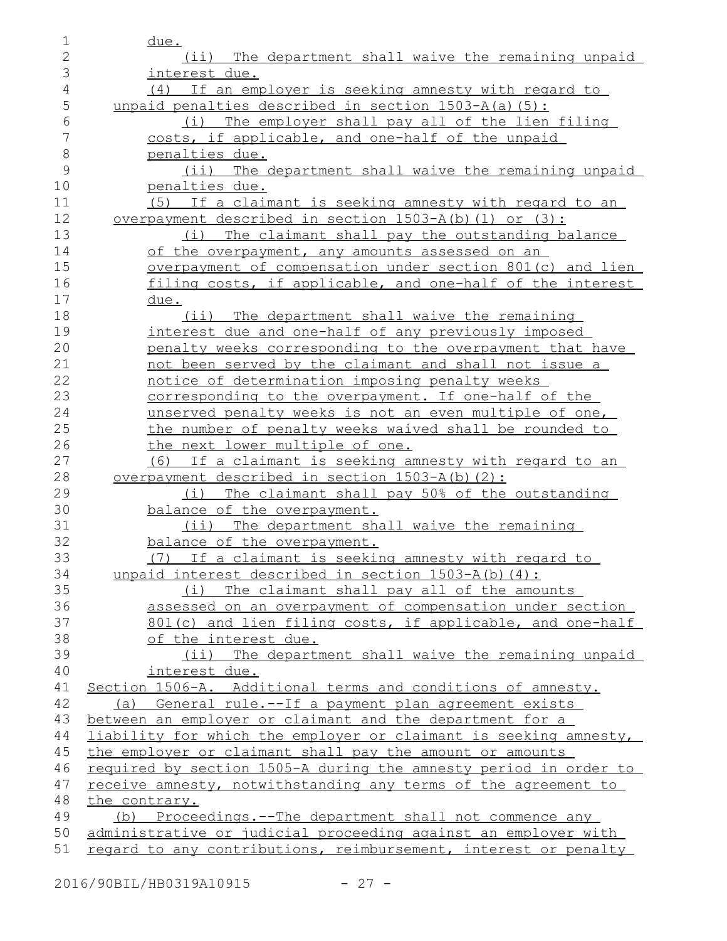| 1            | <u>due.</u>                                                                  |
|--------------|------------------------------------------------------------------------------|
| $\mathbf{2}$ | (ii) The department shall waive the remaining unpaid                         |
| 3            | interest due.                                                                |
| 4            | (4) If an employer is seeking amnesty with regard to                         |
| 5            | unpaid penalties described in section $1503 - A(a)$ (5):                     |
| 6            | (i) The employer shall pay all of the lien filing                            |
| 7            | costs, if applicable, and one-half of the unpaid                             |
| 8            | penalties due.                                                               |
| 9            | (ii) The department shall waive the remaining unpaid                         |
| 10           | penalties due.                                                               |
| 11           | (5) If a claimant is seeking amnesty with regard to an                       |
| 12           | overpayment described in section 1503-A(b)(1) or (3):                        |
| 13           | (i) The claimant shall pay the outstanding balance                           |
| 14           | of the overpayment, any amounts assessed on an                               |
| 15           | overpayment of compensation under section 801(c) and lien                    |
| 16           | filing costs, if applicable, and one-half of the interest                    |
| 17           | <u>due.</u>                                                                  |
| 18           | (ii) The department shall waive the remaining                                |
| 19           | interest due and one-half of any previously imposed                          |
| 20           | penalty weeks corresponding to the overpayment that have                     |
| 21           | not been served by the claimant and shall not issue a                        |
| 22           | notice of determination imposing penalty weeks                               |
| 23           | corresponding to the overpayment. If one-half of the                         |
| 24           | unserved penalty weeks is not an even multiple of one,                       |
| 25           | the number of penalty weeks waived shall be rounded to                       |
| 26           | the next lower multiple of one.                                              |
| 27           | (6) If a claimant is seeking amnesty with regard to an                       |
| 28           | overpayment described in section 1503-A(b)(2):                               |
| 29           | (i) The claimant shall pay 50% of the outstanding                            |
| 30           | balance of the overpayment.                                                  |
| 31           | (ii) The department shall waive the remaining                                |
| 32           | balance of the overpayment.                                                  |
| 33           | (7) If a claimant is seeking amnesty with regard to                          |
| 34           | unpaid interest described in section 1503-A(b)(4):                           |
| 35           | (i) The claimant shall pay all of the amounts                                |
| 36           | assessed on an overpayment of compensation under section                     |
| 37           | 801(c) and lien filing costs, if applicable, and one-half                    |
| 38           | of the interest due.                                                         |
| 39           | (ii) The department shall waive the remaining unpaid                         |
| 40<br>41     | interest due.<br>Section 1506-A. Additional terms and conditions of amnesty. |
| 42           | (a) General rule.--If a payment plan agreement exists                        |
| 43           | between an employer or claimant and the department for a                     |
| 44           | liability for which the employer or claimant is seeking amnesty,             |
| 45           | the employer or claimant shall pay the amount or amounts                     |
| 46           | required by section 1505-A during the amnesty period in order to             |
| 47           | receive amnesty, notwithstanding any terms of the agreement to               |
| 48           | the contrary.                                                                |
| 49           | (b) Proceedings.--The department shall not commence any                      |
| 50           | administrative or judicial proceeding against an employer with               |
| 51           | regard to any contributions, reimbursement, interest or penalty              |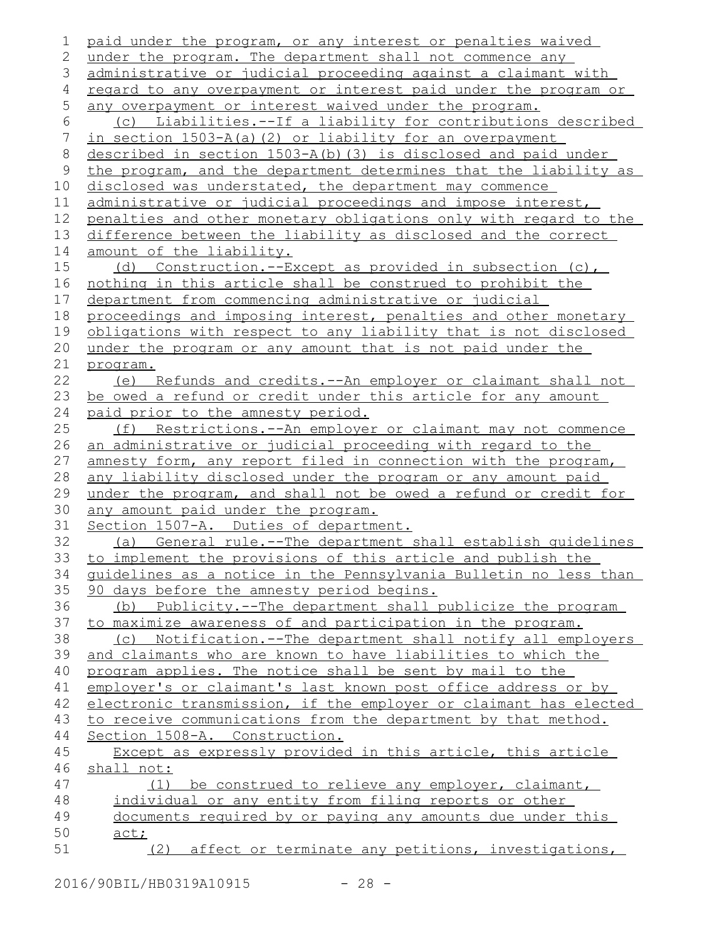```
paid under the program, or any interest or penalties waived
   under the program. The department shall not commence any
   administrative or judicial proceeding against a claimant with
   regard to any overpayment or interest paid under the program or
   any overpayment or interest waived under the program.
       (c) Liabilities.--If a liability for contributions described
   in section 1503-A(a)(2) or liability for an overpayment
   described in section 1503-A(b)(3) is disclosed and paid under
   the program, and the department determines that the liability as
   disclosed was understated, the department may commence
    administrative or judicial proceedings and impose interest,
    penalties and other monetary obligations only with regard to the
    difference between the liability as disclosed and the correct
    amount of the liability.
       (d) Construction.--Except as provided in subsection (c),
   nothing in this article shall be construed to prohibit the
   department from commencing administrative or judicial
   proceedings and imposing interest, penalties and other monetary
    obligations with respect to any liability that is not disclosed
   under the program or any amount that is not paid under the
   program.
       (e) Refunds and credits.--An employer or claimant shall not
   be owed a refund or credit under this article for any amount
   paid prior to the amnesty period.
       (f) Restrictions.--An employer or claimant may not commence
    an administrative or judicial proceeding with regard to the
    amnesty form, any report filed in connection with the program,
    any liability disclosed under the program or any amount paid
   under the program, and shall not be owed a refund or credit for
    any amount paid under the program.
   Section 1507-A. Duties of department.
       (a) General rule.--The department shall establish guidelines
    to implement the provisions of this article and publish the
   guidelines as a notice in the Pennsylvania Bulletin no less than
    90 days before the amnesty period begins.
       (b) Publicity.--The department shall publicize the program
   to maximize awareness of and participation in the program.
       (c) Notification.--The department shall notify all employers
   and claimants who are known to have liabilities to which the
   program applies. The notice shall be sent by mail to the
    employer's or claimant's last known post office address or by
    electronic transmission, if the employer or claimant has elected
   to receive communications from the department by that method.
   Section 1508-A. Construction.
       Except as expressly provided in this article, this article
   shall not:
           (1) be construed to relieve any employer, claimant,
       individual or any entity from filing reports or other
       documents required by or paying any amounts due under this
      act;
           (2) affect or terminate any petitions, investigations,
 1
 2
 3
 4
 5
 6
 7
 8
 9
10
11
12
13
14
15
16
17
18
19
20
21
22
23
24
25
26
27
28
29
30
31
32
33
34
35
36
37
38
39
40
41
42
43
44
45
46
47
48
49
50
51
```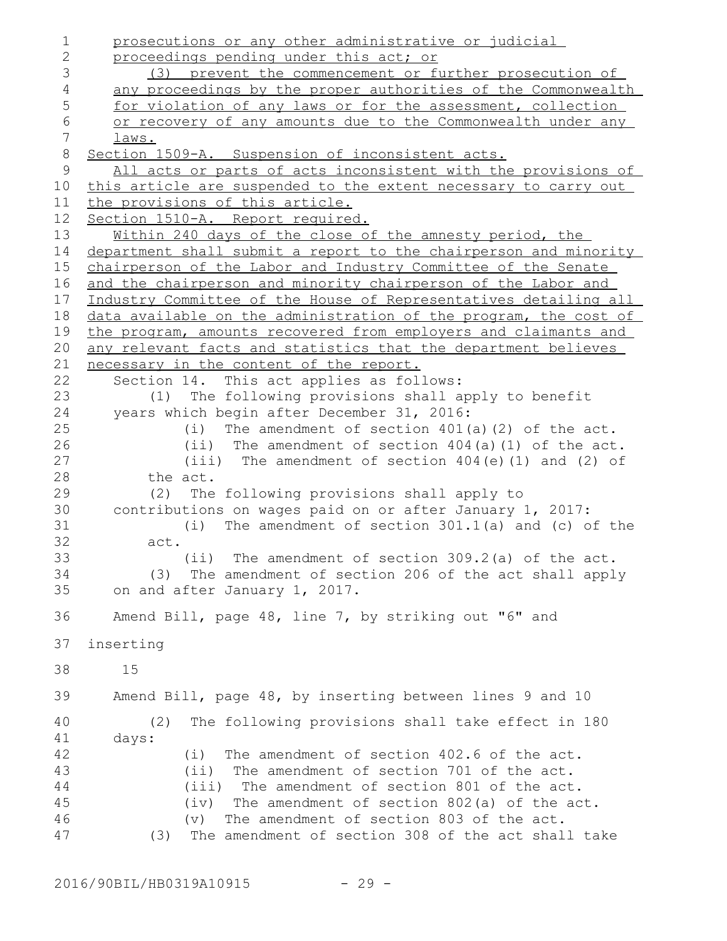prosecutions or any other administrative or judicial proceedings pending under this act; or (3) prevent the commencement or further prosecution of any proceedings by the proper authorities of the Commonwealth for violation of any laws or for the assessment, collection or recovery of any amounts due to the Commonwealth under any laws. Section 1509-A. Suspension of inconsistent acts. All acts or parts of acts inconsistent with the provisions of this article are suspended to the extent necessary to carry out the provisions of this article. Section 1510-A. Report required. Within 240 days of the close of the amnesty period, the department shall submit a report to the chairperson and minority chairperson of the Labor and Industry Committee of the Senate and the chairperson and minority chairperson of the Labor and Industry Committee of the House of Representatives detailing all data available on the administration of the program, the cost of the program, amounts recovered from employers and claimants and any relevant facts and statistics that the department believes necessary in the content of the report. Section 14. This act applies as follows: (1) The following provisions shall apply to benefit years which begin after December 31, 2016: (i) The amendment of section 401(a)(2) of the act. (ii) The amendment of section 404(a)(1) of the act. (iii) The amendment of section 404(e)(1) and (2) of the act. (2) The following provisions shall apply to contributions on wages paid on or after January 1, 2017: (i) The amendment of section 301.1(a) and (c) of the act. (ii) The amendment of section 309.2(a) of the act. (3) The amendment of section 206 of the act shall apply on and after January 1, 2017. Amend Bill, page 48, line 7, by striking out "6" and inserting 15 Amend Bill, page 48, by inserting between lines 9 and 10 (2) The following provisions shall take effect in 180 days: (i) The amendment of section 402.6 of the act. (ii) The amendment of section 701 of the act. (iii) The amendment of section 801 of the act. (iv) The amendment of section 802(a) of the act. (v) The amendment of section 803 of the act. (3) The amendment of section 308 of the act shall take 1 2 3 4 5 6 7 8 9 10 11 12 13 14 15 16 17 18 19 20 21 22 23 24 25 26 27 28 29 30 31 32 33 34 35 36 37 38 39 40 41 42 43 44 45 46 47